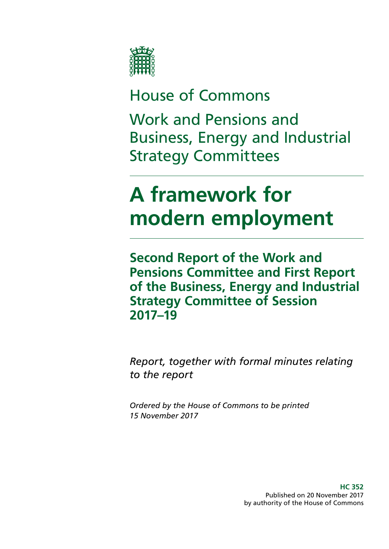

## House of Commons

Work and Pensions and Business, Energy and Industrial Strategy Committees

# **A framework for modern employment**

**Second Report of the Work and Pensions Committee and First Report of the Business, Energy and Industrial Strategy Committee of Session 2017–19**

*Report, together with formal minutes relating to the report*

*Ordered by the House of Commons to be printed 15 November 2017*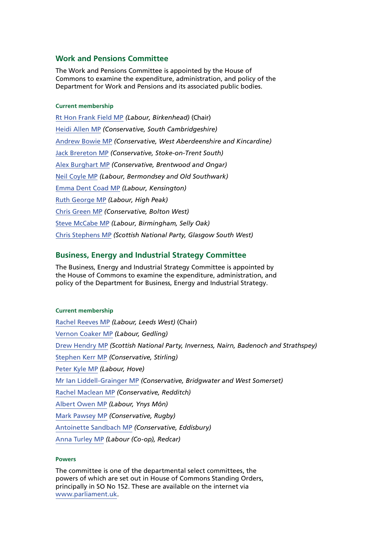#### **Work and Pensions Committee**

The Work and Pensions Committee is appointed by the House of Commons to examine the expenditure, administration, and policy of the Department for Work and Pensions and its associated public bodies.

#### **Current membership**

[Rt Hon Frank Field MP](https://www.parliament.uk/biographies/commons/frank-field/478) *(Labour, Birkenhead)* (Chair) [Heidi Allen MP](http://www.parliament.uk/biographies/commons/heidi-allen/4516) *(Conservative, South Cambridgeshire)* [Andrew Bowie MP](http://www.parliament.uk/biographies/commons/andrew-bowie/4601) *(Conservative, West Aberdeenshire and Kincardine)* [Jack Brereton MP](http://www.parliament.uk/biographies/commons/jack-brereton/4643) *(Conservative, Stoke-on-Trent South)* [Alex Burghart MP](http://www.parliament.uk/biographies/commons/alex-burghart/4613) *(Conservative, Brentwood and Ongar)*  [Neil Coyle MP](http://www.parliament.uk/biographies/commons/neil-coyle/4368) *(Labour, Bermondsey and Old Southwark)* [Emma Dent Coad MP](http://www.parliament.uk/biographies/commons/emma-dent-coad/4683) *(Labour, Kensington)* Ruth [George MP](http://www.parliament.uk/biographies/commons/ruth-george/4662) *(Labour, High Peak)* [Chris Green MP](http://www.parliament.uk/biographies/commons/chris-green/4398) *(Conservative, Bolton West)* Steve [McCabe MP](http://www.parliament.uk/biographies/commons/steve-mccabe/298) *(Labour, Birmingham, Selly Oak)* [Chris Stephens MP](http://www.parliament.uk/biographies/commons/chris-stephens/4463) *(Scottish National Party, Glasgow South West)*

#### **Business, Energy and Industrial Strategy Committee**

The Business, Energy and Industrial Strategy Committee is appointed by the House of Commons to examine the expenditure, administration, and policy of the Department for Business, Energy and Industrial Strategy.

#### **Current membership**

[Rachel Reeves MP](http://www.parliament.uk/biographies/commons/rachel-reeves/4031) *(Labour, Leeds West)* (Chair) [Vernon Coaker MP](http://www.parliament.uk/biographies/commons/vernon-coaker/360) *(Labour, Gedling)* [Drew Hendry MP](http://www.parliament.uk/biographies/commons/drew-hendry/4467) *(Scottish National Party, Inverness, Nairn, Badenoch and Strathspey)* [Stephen Kerr MP](http://www.parliament.uk/biographies/commons/stephen-kerr/4604) *(Conservative, Stirling)* [Peter Kyle MP](http://www.parliament.uk/biographies/commons/peter-kyle/4505) *(Labour, Hove)* [Mr Ian Liddell-Grainger MP](http://www.parliament.uk/biographies/commons/mr-ian-liddell-grainger/1396) *(Conservative, Bridgwater and West Somerset)* [Rachel Maclean MP](http://www.parliament.uk/biographies/commons/rachel-maclean/4668) *(Conservative, Redditch)* [Albert Owen MP](http://www.parliament.uk/biographies/commons/albert-owen/1474) *(Labour, Ynys Môn)* [Mark Pawsey MP](https://www.parliament.uk/biographies/commons/mark-pawsey/4052) *(Conservative, Rugby)* [Antoinette Sandbach MP](http://www.parliament.uk/biographies/commons/antoinette-sandbach/4506) *(Conservative, Eddisbury)* [Anna Turley MP](http://www.parliament.uk/biographies/commons/anna-turley/4449) *(Labour (Co-op), Redcar)*

#### **Powers**

The committee is one of the departmental select committees, the powers of which are set out in House of Commons Standing Orders, principally in SO No 152. These are available on the internet via [www.parliament.uk](http://www.parliament.uk/).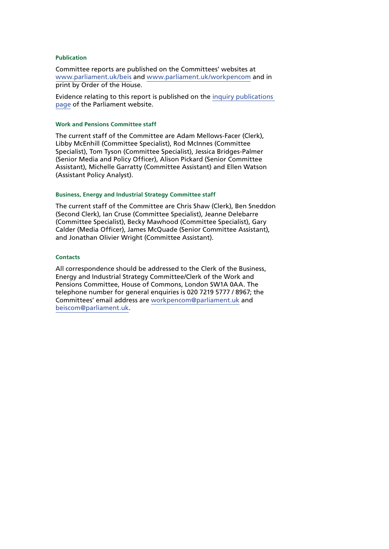#### **Publication**

Committee reports are published on the Committees' websites at [www.parliament.uk/beis](http://www.parliament.uk/beis) and [www.parliament.uk/workpencom](http://www.parliament.uk/workpencom) and in print by Order of the House.

Evidence relating to this report is published on the [inquiry publications](http://www.parliament.uk/business/committees/committees-a-z/commons-select/work-and-pensions-committee/inquiries/parliament-2017/inquiry1/publications/)  [page](http://www.parliament.uk/business/committees/committees-a-z/commons-select/work-and-pensions-committee/inquiries/parliament-2017/inquiry1/publications/) of the Parliament website.

#### **Work and Pensions Committee staff**

The current staff of the Committee are Adam Mellows-Facer (Clerk), Libby McEnhill (Committee Specialist), Rod McInnes (Committee Specialist), Tom Tyson (Committee Specialist), Jessica Bridges-Palmer (Senior Media and Policy Officer), Alison Pickard (Senior Committee Assistant), Michelle Garratty (Committee Assistant) and Ellen Watson (Assistant Policy Analyst).

#### **Business, Energy and Industrial Strategy Committee staff**

The current staff of the Committee are Chris Shaw (Clerk), Ben Sneddon (Second Clerk), Ian Cruse (Committee Specialist), Jeanne Delebarre (Committee Specialist), Becky Mawhood (Committee Specialist), Gary Calder (Media Officer), James McQuade (Senior Committee Assistant), and Jonathan Olivier Wright (Committee Assistant).

#### **Contacts**

All correspondence should be addressed to the Clerk of the Business, Energy and Industrial Strategy Committee/Clerk of the Work and Pensions Committee, House of Commons, London SW1A 0AA. The telephone number for general enquiries is 020 7219 5777 / 8967; the Committees' email address are [workpencom@parliament.uk](mailto:workpencom@parliament.uk) and [beiscom@parliament.uk](mailto:beiscom@parliament.uk).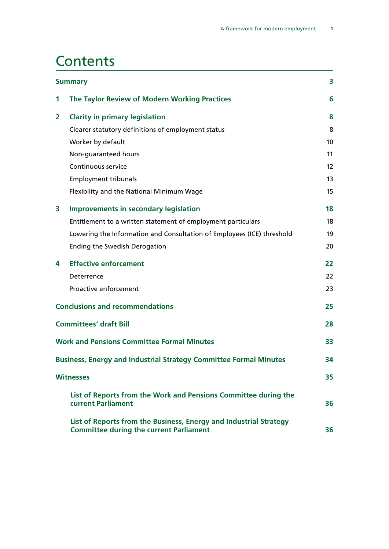## **Contents**

| <b>Summary</b> |                                                                                                                     | 3  |
|----------------|---------------------------------------------------------------------------------------------------------------------|----|
| 1              | The Taylor Review of Modern Working Practices                                                                       | 6  |
| 2              | <b>Clarity in primary legislation</b>                                                                               | 8  |
|                | Clearer statutory definitions of employment status                                                                  | 8  |
|                | Worker by default                                                                                                   | 10 |
|                | Non-guaranteed hours                                                                                                | 11 |
|                | Continuous service                                                                                                  | 12 |
|                | <b>Employment tribunals</b>                                                                                         | 13 |
|                | Flexibility and the National Minimum Wage                                                                           | 15 |
| 3              | <b>Improvements in secondary legislation</b>                                                                        | 18 |
|                | Entitlement to a written statement of employment particulars                                                        | 18 |
|                | Lowering the Information and Consultation of Employees (ICE) threshold                                              | 19 |
|                | <b>Ending the Swedish Derogation</b>                                                                                | 20 |
| 4              | <b>Effective enforcement</b>                                                                                        | 22 |
|                | Deterrence                                                                                                          | 22 |
|                | Proactive enforcement                                                                                               | 23 |
|                | <b>Conclusions and recommendations</b>                                                                              |    |
|                | <b>Committees' draft Bill</b>                                                                                       | 28 |
|                | <b>Work and Pensions Committee Formal Minutes</b>                                                                   | 33 |
|                | <b>Business, Energy and Industrial Strategy Committee Formal Minutes</b>                                            |    |
|                | <b>Witnesses</b>                                                                                                    | 35 |
|                | List of Reports from the Work and Pensions Committee during the<br>current Parliament                               | 36 |
|                | List of Reports from the Business, Energy and Industrial Strategy<br><b>Committee during the current Parliament</b> | 36 |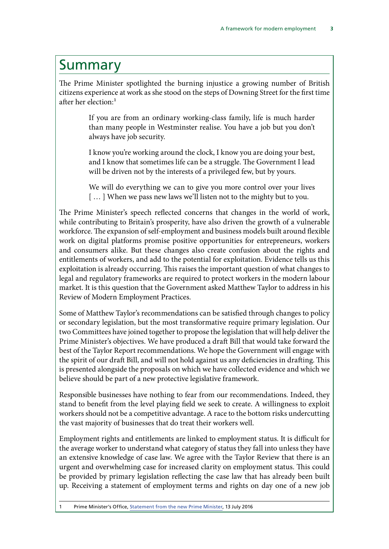## <span id="page-6-0"></span>Summary

The Prime Minister spotlighted the burning injustice a growing number of British citizens experience at work as she stood on the steps of Downing Street for the first time after her election:<sup>1</sup>

> If you are from an ordinary working-class family, life is much harder than many people in Westminster realise. You have a job but you don't always have job security.

> I know you're working around the clock, I know you are doing your best, and I know that sometimes life can be a struggle. The Government I lead will be driven not by the interests of a privileged few, but by yours.

> We will do everything we can to give you more control over your lives [...] When we pass new laws we'll listen not to the mighty but to you.

The Prime Minister's speech reflected concerns that changes in the world of work, while contributing to Britain's prosperity, have also driven the growth of a vulnerable workforce. The expansion of self-employment and business models built around flexible work on digital platforms promise positive opportunities for entrepreneurs, workers and consumers alike. But these changes also create confusion about the rights and entitlements of workers, and add to the potential for exploitation. Evidence tells us this exploitation is already occurring. This raises the important question of what changes to legal and regulatory frameworks are required to protect workers in the modern labour market. It is this question that the Government asked Matthew Taylor to address in his Review of Modern Employment Practices.

Some of Matthew Taylor's recommendations can be satisfied through changes to policy or secondary legislation, but the most transformative require primary legislation. Our two Committees have joined together to propose the legislation that will help deliver the Prime Minister's objectives. We have produced a draft Bill that would take forward the best of the Taylor Report recommendations. We hope the Government will engage with the spirit of our draft Bill, and will not hold against us any deficiencies in drafting. This is presented alongside the proposals on which we have collected evidence and which we believe should be part of a new protective legislative framework.

Responsible businesses have nothing to fear from our recommendations. Indeed, they stand to benefit from the level playing field we seek to create. A willingness to exploit workers should not be a competitive advantage. A race to the bottom risks undercutting the vast majority of businesses that do treat their workers well.

Employment rights and entitlements are linked to employment status. It is difficult for the average worker to understand what category of status they fall into unless they have an extensive knowledge of case law. We agree with the Taylor Review that there is an urgent and overwhelming case for increased clarity on employment status. This could be provided by primary legislation reflecting the case law that has already been built up. Receiving a statement of employment terms and rights on day one of a new job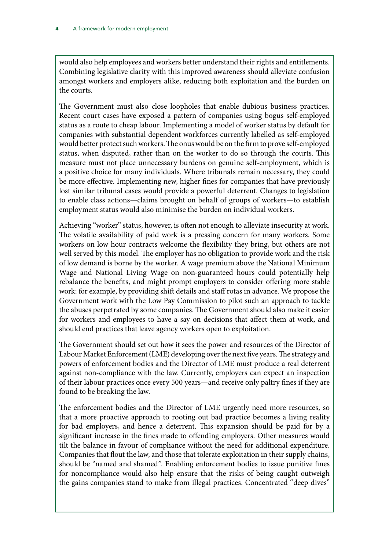would also help employees and workers better understand their rights and entitlements. Combining legislative clarity with this improved awareness should alleviate confusion amongst workers and employers alike, reducing both exploitation and the burden on the courts.

The Government must also close loopholes that enable dubious business practices. Recent court cases have exposed a pattern of companies using bogus self-employed status as a route to cheap labour. Implementing a model of worker status by default for companies with substantial dependent workforces currently labelled as self-employed would better protect such workers. The onus would be on the firm to prove self-employed status, when disputed, rather than on the worker to do so through the courts. This measure must not place unnecessary burdens on genuine self-employment, which is a positive choice for many individuals. Where tribunals remain necessary, they could be more effective. Implementing new, higher fines for companies that have previously lost similar tribunal cases would provide a powerful deterrent. Changes to legislation to enable class actions—claims brought on behalf of groups of workers—to establish employment status would also minimise the burden on individual workers.

Achieving "worker" status, however, is often not enough to alleviate insecurity at work. The volatile availability of paid work is a pressing concern for many workers. Some workers on low hour contracts welcome the flexibility they bring, but others are not well served by this model. The employer has no obligation to provide work and the risk of low demand is borne by the worker. A wage premium above the National Minimum Wage and National Living Wage on non-guaranteed hours could potentially help rebalance the benefits, and might prompt employers to consider offering more stable work: for example, by providing shift details and staff rotas in advance. We propose the Government work with the Low Pay Commission to pilot such an approach to tackle the abuses perpetrated by some companies. The Government should also make it easier for workers and employees to have a say on decisions that affect them at work, and should end practices that leave agency workers open to exploitation.

The Government should set out how it sees the power and resources of the Director of Labour Market Enforcement (LME) developing over the next five years. The strategy and powers of enforcement bodies and the Director of LME must produce a real deterrent against non-compliance with the law. Currently, employers can expect an inspection of their labour practices once every 500 years—and receive only paltry fines if they are found to be breaking the law.

The enforcement bodies and the Director of LME urgently need more resources, so that a more proactive approach to rooting out bad practice becomes a living reality for bad employers, and hence a deterrent. This expansion should be paid for by a significant increase in the fines made to offending employers. Other measures would tilt the balance in favour of compliance without the need for additional expenditure. Companies that flout the law, and those that tolerate exploitation in their supply chains, should be "named and shamed". Enabling enforcement bodies to issue punitive fines for noncompliance would also help ensure that the risks of being caught outweigh the gains companies stand to make from illegal practices. Concentrated "deep dives"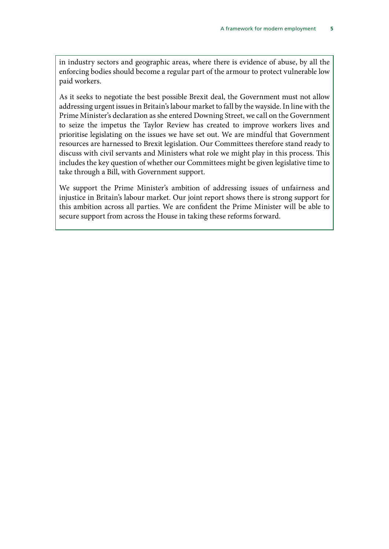in industry sectors and geographic areas, where there is evidence of abuse, by all the enforcing bodies should become a regular part of the armour to protect vulnerable low paid workers.

As it seeks to negotiate the best possible Brexit deal, the Government must not allow addressing urgent issues in Britain's labour market to fall by the wayside. In line with the Prime Minister's declaration as she entered Downing Street, we call on the Government to seize the impetus the Taylor Review has created to improve workers lives and prioritise legislating on the issues we have set out. We are mindful that Government resources are harnessed to Brexit legislation. Our Committees therefore stand ready to discuss with civil servants and Ministers what role we might play in this process. This includes the key question of whether our Committees might be given legislative time to take through a Bill, with Government support.

We support the Prime Minister's ambition of addressing issues of unfairness and injustice in Britain's labour market. Our joint report shows there is strong support for this ambition across all parties. We are confident the Prime Minister will be able to secure support from across the House in taking these reforms forward.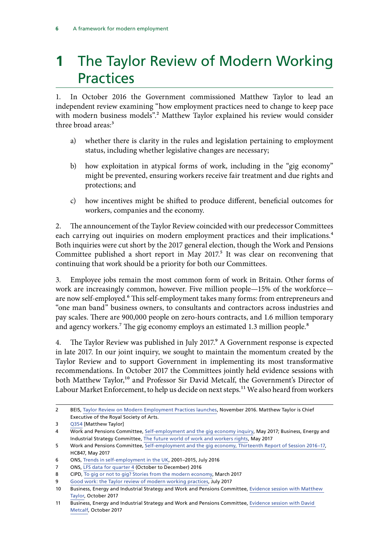## <span id="page-9-0"></span>**1** The Taylor Review of Modern Working Practices

1. In October 2016 the Government commissioned Matthew Taylor to lead an independent review examining "how employment practices need to change to keep pace with modern business models".<sup>2</sup> Matthew Taylor explained his review would consider three broad areas:<sup>3</sup>

- a) whether there is clarity in the rules and legislation pertaining to employment status, including whether legislative changes are necessary;
- b) how exploitation in atypical forms of work, including in the "gig economy" might be prevented, ensuring workers receive fair treatment and due rights and protections; and
- c) how incentives might be shifted to produce different, beneficial outcomes for workers, companies and the economy.

2. The announcement of the Taylor Review coincided with our predecessor Committees each carrying out inquiries on modern employment practices and their implications.<sup>4</sup> Both inquiries were cut short by the 2017 general election, though the Work and Pensions Committee published a short report in May 2017.<sup>5</sup> It was clear on reconvening that continuing that work should be a priority for both our Committees.

3. Employee jobs remain the most common form of work in Britain. Other forms of work are increasingly common, however. Five million people—15% of the workforce are now self-employed.<sup>6</sup> This self-employment takes many forms: from entrepreneurs and "one man band" business owners, to consultants and contractors across industries and pay scales. There are 900,000 people on zero-hours contracts, and 1.6 million temporary and agency workers.<sup>7</sup> The gig economy employs an estimated 1.3 million people.<sup>8</sup>

4. The Taylor Review was published in July 2017.<sup>9</sup> A Government response is expected in late 2017. In our joint inquiry, we sought to maintain the momentum created by the Taylor Review and to support Government in implementing its most transformative recommendations. In October 2017 the Committees jointly held evidence sessions with both Matthew Taylor,<sup>10</sup> and Professor Sir David Metcalf, the Government's Director of Labour Market Enforcement, to help us decide on next steps.<sup>11</sup> We also heard from workers

<sup>2</sup> BEIS, [Taylor Review on Modern Employment Practices launches](https://www.gov.uk/government/news/taylor-review-on-modern-employment-practices-launches), November 2016. Matthew Taylor is Chief Executive of the Royal Society of Arts.

<sup>3</sup> [Q354](http://data.parliament.uk/writtenevidence/committeeevidence.svc/evidencedocument/work-and-pensions-committee/selfemployment-and-the-gig-economy/oral/49709.pdf) [Matthew Taylor]

<sup>4</sup> Work and Pensions Committee, [Self-employment and the gig economy inquiry](https://www.parliament.uk/business/committees/committees-a-z/commons-select/work-and-pensions-committee/inquiries/parliament-2015/self-employment-gig-economy-16-17/), May 2017; Business, Energy and Industrial Strategy Committee, [The future world of work and workers rights,](https://www.parliament.uk/business/committees/committees-a-z/commons-select/business-energy-industrial-strategy/inquiries/parliament-2015/the-future-world-of-work-and-rights-of-workers-16-17/) May 2017

<sup>5</sup> Work and Pensions Committee, [Self-employment and the gig economy, Thirteenth Report of Session 2016–17,](https://publications.parliament.uk/pa/cm201617/cmselect/cmworpen/847/847.pdf) HC847, May 2017

<sup>6</sup> ONS, [Trends in self-employment in the UK](https://www.ons.gov.uk/employmentandlabourmarket/peopleinwork/employmentandemployeetypes/articles/trendsinselfemploymentintheuk/2001to2015), 2001–2015, July 2016

<sup>7</sup> ONS, [LFS data for quarter 4](https://www.ons.gov.uk/employmentandlabourmarket/peopleinwork/employmentandemployeetypes/articles/trendsinselfemploymentintheuk/2001to2015) (October to December) 2016

<sup>8</sup> CIPD, [To gig or not to gig? Stories from the modern economy,](https://www.cipd.co.uk/Images/to-gig-or-not-to-gig_2017-stories-from-the-modern-economy_tcm18-18955.pdf) March 2017

<sup>9</sup> [Good work: the Taylor review of modern working practices,](https://www.gov.uk/government/uploads/system/uploads/attachment_data/file/627671/good-work-taylor-review-modern-working-practices-rg.pdf) July 2017

<sup>10</sup> Business, Energy and Industrial Strategy and Work and Pensions Committee, [Evidence session with Matthew](http://data.parliament.uk/writtenevidence/committeeevidence.svc/evidencedocument/work-and-pensions-committee/taylor-review-of-modern-working-practices/oral/71338.pdf)  [Taylor](http://data.parliament.uk/writtenevidence/committeeevidence.svc/evidencedocument/work-and-pensions-committee/taylor-review-of-modern-working-practices/oral/71338.pdf), October 2017

<sup>11</sup> Business, Energy and Industrial Strategy and Work and Pensions Committee, [Evidence session with David](http://data.parliament.uk/writtenevidence/committeeevidence.svc/evidencedocument/work-and-pensions-committee/taylor-review-of-modern-working-practices/oral/72191.pdf)  [Metcalf,](http://data.parliament.uk/writtenevidence/committeeevidence.svc/evidencedocument/work-and-pensions-committee/taylor-review-of-modern-working-practices/oral/72191.pdf) October 2017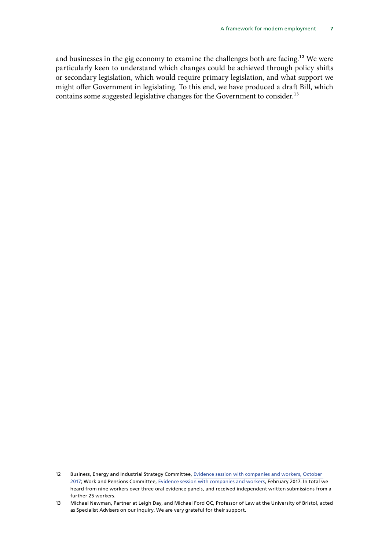and businesses in the gig economy to examine the challenges both are facing.<sup>12</sup> We were particularly keen to understand which changes could be achieved through policy shifts or secondary legislation, which would require primary legislation, and what support we might offer Government in legislating. To this end, we have produced a draft Bill, which contains some suggested legislative changes for the Government to consider.<sup>13</sup>

<sup>12</sup> Business, Energy and Industrial Strategy Committee, [Evidence session with companies and workers, October](http://data.parliament.uk/writtenevidence/committeeevidence.svc/evidencedocument/work-and-pensions-committee/taylor-review-of-modern-working-practices/oral/71335.pdf)  [2017;](http://data.parliament.uk/writtenevidence/committeeevidence.svc/evidencedocument/work-and-pensions-committee/taylor-review-of-modern-working-practices/oral/71335.pdf) Work and Pensions Committee, [Evidence session with companies and workers,](http://data.parliament.uk/writtenevidence/committeeevidence.svc/evidencedocument/work-and-pensions-committee/selfemployment-and-the-gig-economy/oral/46969.pdf) February 2017. In total we heard from nine workers over three oral evidence panels, and received independent written submissions from a further 25 workers.

<sup>13</sup> Michael Newman, Partner at Leigh Day, and Michael Ford QC, Professor of Law at the University of Bristol, acted as Specialist Advisers on our inquiry. We are very grateful for their support.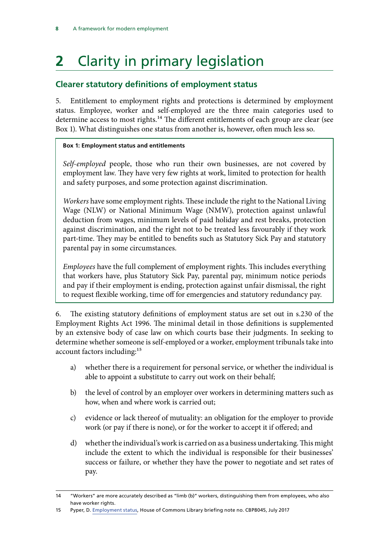## <span id="page-11-0"></span>**2** Clarity in primary legislation

## **Clearer statutory definitions of employment status**

5. Entitlement to employment rights and protections is determined by employment status. Employee, worker and self-employed are the three main categories used to determine access to most rights.<sup>14</sup> The different entitlements of each group are clear (see Box 1). What distinguishes one status from another is, however, often much less so.

#### **Box 1: Employment status and entitlements**

*Self-employed* people, those who run their own businesses, are not covered by employment law. They have very few rights at work, limited to protection for health and safety purposes, and some protection against discrimination.

*Workers* have some employment rights. These include the right to the National Living Wage (NLW) or National Minimum Wage (NMW), protection against unlawful deduction from wages, minimum levels of paid holiday and rest breaks, protection against discrimination, and the right not to be treated less favourably if they work part-time. They may be entitled to benefits such as Statutory Sick Pay and statutory parental pay in some circumstances.

*Employees* have the full complement of employment rights. This includes everything that workers have, plus Statutory Sick Pay, parental pay, minimum notice periods and pay if their employment is ending, protection against unfair dismissal, the right to request flexible working, time off for emergencies and statutory redundancy pay.

6. The existing statutory definitions of employment status are set out in s.230 of the Employment Rights Act 1996. The minimal detail in those definitions is supplemented by an extensive body of case law on which courts base their judgments. In seeking to determine whether someone is self-employed or a worker, employment tribunals take into account factors including:<sup>15</sup>

- a) whether there is a requirement for personal service, or whether the individual is able to appoint a substitute to carry out work on their behalf;
- b) the level of control by an employer over workers in determining matters such as how, when and where work is carried out;
- c) evidence or lack thereof of mutuality: an obligation for the employer to provide work (or pay if there is none), or for the worker to accept it if offered; and
- d) whether the individual's work is carried on as a business undertaking. This might include the extent to which the individual is responsible for their businesses' success or failure, or whether they have the power to negotiate and set rates of pay.

<sup>14</sup> "Workers" are more accurately described as "limb (b)" workers, distinguishing them from employees, who also have worker rights.

<sup>15</sup> Pyper, D. [Employment status](http://researchbriefings.parliament.uk/ResearchBriefing/Summary/CBP-8045), House of Commons Library briefing note no. CBP8045, July 2017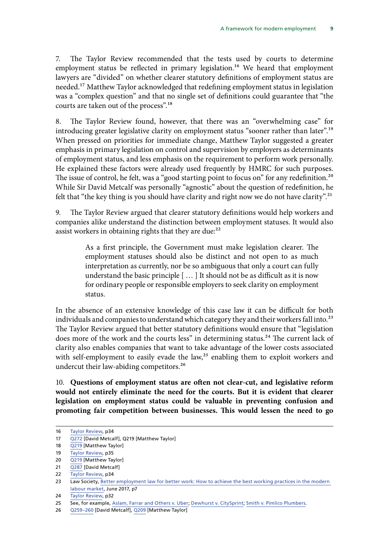7. The Taylor Review recommended that the tests used by courts to determine employment status be reflected in primary legislation.<sup>16</sup> We heard that employment lawyers are "divided" on whether clearer statutory definitions of employment status are needed.17 Matthew Taylor acknowledged that redefining employment status in legislation was a "complex question" and that no single set of definitions could guarantee that "the courts are taken out of the process".18

8. The Taylor Review found, however, that there was an "overwhelming case" for introducing greater legislative clarity on employment status "sooner rather than later".<sup>19</sup> When pressed on priorities for immediate change, Matthew Taylor suggested a greater emphasis in primary legislation on control and supervision by employers as determinants of employment status, and less emphasis on the requirement to perform work personally. He explained these factors were already used frequently by HMRC for such purposes. The issue of control, he felt, was a "good starting point to focus on" for any redefinition.<sup>20</sup> While Sir David Metcalf was personally "agnostic" about the question of redefinition, he felt that "the key thing is you should have clarity and right now we do not have clarity".<sup>21</sup>

9. The Taylor Review argued that clearer statutory definitions would help workers and companies alike understand the distinction between employment statuses. It would also assist workers in obtaining rights that they are due:<sup>22</sup>

> As a first principle, the Government must make legislation clearer. The employment statuses should also be distinct and not open to as much interpretation as currently, nor be so ambiguous that only a court can fully understand the basic principle [ … ] It should not be as difficult as it is now for ordinary people or responsible employers to seek clarity on employment status.

In the absence of an extensive knowledge of this case law it can be difficult for both individuals and companies to understand which category they and their workers fall into.<sup>23</sup> The Taylor Review argued that better statutory definitions would ensure that "legislation does more of the work and the courts less" in determining status.<sup>24</sup> The current lack of clarity also enables companies that want to take advantage of the lower costs associated with self-employment to easily evade the law,<sup>25</sup> enabling them to exploit workers and undercut their law-abiding competitors.<sup>26</sup>

10. **Questions of employment status are often not clear-cut, and legislative reform would not entirely eliminate the need for the courts. But it is evident that clearer legislation on employment status could be valuable in preventing confusion and promoting fair competition between businesses. This would lessen the need to go** 

21  $\overline{Q287}$  $\overline{Q287}$  $\overline{Q287}$  [David Metcalf]

<sup>16</sup> [Taylor Review,](https://www.gov.uk/government/uploads/system/uploads/attachment_data/file/627671/good-work-taylor-review-modern-working-practices-rg.pdf) p34

<sup>17</sup> [Q272](http://data.parliament.uk/writtenevidence/committeeevidence.svc/evidencedocument/work-and-pensions-committee/taylor-review-of-modern-working-practices/oral/72191.pdf) [David Metcalf], Q219 [Matthew Taylor]

<sup>18</sup> [Q219](http://data.parliament.uk/writtenevidence/committeeevidence.svc/evidencedocument/work-and-pensions-committee/taylor-review-of-modern-working-practices/oral/71338.pdf) [Matthew Taylor]

<sup>19</sup> [Taylor Review,](https://www.gov.uk/government/uploads/system/uploads/attachment_data/file/627671/good-work-taylor-review-modern-working-practices-rg.pdf) p35

<sup>20</sup> [Q219](http://data.parliament.uk/writtenevidence/committeeevidence.svc/evidencedocument/work-and-pensions-committee/taylor-review-of-modern-working-practices/oral/71338.pdf) [Matthew Taylor]

<sup>22</sup> [Taylor Review,](https://www.gov.uk/government/uploads/system/uploads/attachment_data/file/627671/good-work-taylor-review-modern-working-practices-rg.pdf) p34

<sup>23</sup> Law Society, Better employment law for better work: How to achieve the best working practices in the modern [labour market,](http://www.lawsociety.org.uk/policy-campaigns/consultation-responses/independent-review-of-employment-practices-in-the-modern-economy-response/) June 2017, p7

<sup>24</sup> [Taylor Review,](https://www.gov.uk/government/uploads/system/uploads/attachment_data/file/627671/good-work-taylor-review-modern-working-practices-rg.pdf) p32

<sup>25</sup> See, for example, [Aslam, Farrar and Others v. Uber](https://www.judiciary.gov.uk/wp-content/uploads/2016/10/aslam-and-farrar-v-uber-reasons-20161028.pdf); [Dewhurst v. CitySprint;](http://www.egos.co.uk/ir35_cases/Dewhurst_v_City_Sprint_2016.pdf) [Smith v. Pimlico Plumbers.](https://www.judiciary.gov.uk/wp-content/uploads/2017/02/pimlico-plumbers-v-smith.pdf)

<sup>26</sup> [Q259–260](http://data.parliament.uk/writtenevidence/committeeevidence.svc/evidencedocument/work-and-pensions-committee/taylor-review-of-modern-working-practices/oral/72191.pdf) [David Metcalf], [Q209](http://data.parliament.uk/writtenevidence/committeeevidence.svc/evidencedocument/work-and-pensions-committee/taylor-review-of-modern-working-practices/oral/71338.pdf) [Matthew Taylor]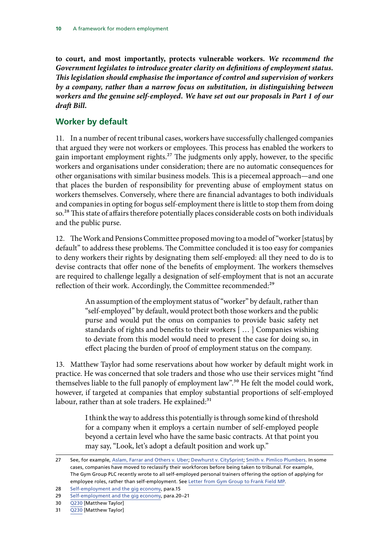<span id="page-13-0"></span>**to court, and most importantly, protects vulnerable workers.** *We recommend the Government legislates to introduce greater clarity on definitions of employment status. This legislation should emphasise the importance of control and supervision of workers by a company, rather than a narrow focus on substitution, in distinguishing between workers and the genuine self-employed. We have set out our proposals in Part 1 of our draft Bill.*

### **Worker by default**

11. In a number of recent tribunal cases, workers have successfully challenged companies that argued they were not workers or employees. This process has enabled the workers to gain important employment rights.<sup>27</sup> The judgments only apply, however, to the specific workers and organisations under consideration; there are no automatic consequences for other organisations with similar business models. This is a piecemeal approach—and one that places the burden of responsibility for preventing abuse of employment status on workers themselves. Conversely, where there are financial advantages to both individuals and companies in opting for bogus self-employment there is little to stop them from doing so.<sup>28</sup> This state of affairs therefore potentially places considerable costs on both individuals and the public purse.

12. The Work and Pensions Committee proposed moving to a model of "worker [status] by default" to address these problems. The Committee concluded it is too easy for companies to deny workers their rights by designating them self-employed: all they need to do is to devise contracts that offer none of the benefits of employment. The workers themselves are required to challenge legally a designation of self-employment that is not an accurate reflection of their work. Accordingly, the Committee recommended:<sup>29</sup>

> An assumption of the employment status of "worker" by default, rather than "self-employed" by default, would protect both those workers and the public purse and would put the onus on companies to provide basic safety net standards of rights and benefits to their workers [ … ] Companies wishing to deviate from this model would need to present the case for doing so, in effect placing the burden of proof of employment status on the company.

13. Matthew Taylor had some reservations about how worker by default might work in practice. He was concerned that sole traders and those who use their services might "find themselves liable to the full panoply of employment law".<sup>30</sup> He felt the model could work, however, if targeted at companies that employ substantial proportions of self-employed labour, rather than at sole traders. He explained:<sup>31</sup>

> I think the way to address this potentially is through some kind of threshold for a company when it employs a certain number of self-employed people beyond a certain level who have the same basic contracts. At that point you may say, "Look, let's adopt a default position and work up."

<sup>27</sup> See, for example, [Aslam, Farrar and Others v. Uber](https://www.judiciary.gov.uk/wp-content/uploads/2016/10/aslam-and-farrar-v-uber-reasons-20161028.pdf); [Dewhurst v. CitySprint;](http://www.egos.co.uk/ir35_cases/Dewhurst_v_City_Sprint_2016.pdf) [Smith v. Pimlico Plumbers.](https://www.judiciary.gov.uk/wp-content/uploads/2017/02/pimlico-plumbers-v-smith.pdf) In some cases, companies have moved to reclassify their workforces before being taken to tribunal. For example, The Gym Group PLC recently wrote to all self-employed personal trainers offering the option of applying for employee roles, rather than self-employment. See [Letter from Gym Group to Frank Field MP.](http://www.parliament.uk/documents/commons-committees/work-and-pensions/Correspondence/Letter-from-John-Treharne-CEO-of-the-Gym-Group-to-the-Chair-relating-to-personal-trainers-10-November-2017.pdf)

<sup>28</sup> [Self-employment and the gig economy](https://publications.parliament.uk/pa/cm201617/cmselect/cmworpen/847/847.pdf), para.15

<sup>29</sup> [Self-employment and the gig economy](https://publications.parliament.uk/pa/cm201617/cmselect/cmworpen/847/847.pdf), para.20–21

<sup>30</sup> [Q230](http://data.parliament.uk/writtenevidence/committeeevidence.svc/evidencedocument/work-and-pensions-committee/taylor-review-of-modern-working-practices/oral/71338.pdf) [Matthew Taylor]

<sup>31</sup> [Q230](http://data.parliament.uk/writtenevidence/committeeevidence.svc/evidencedocument/work-and-pensions-committee/taylor-review-of-modern-working-practices/oral/71338.pdf) [Matthew Taylor]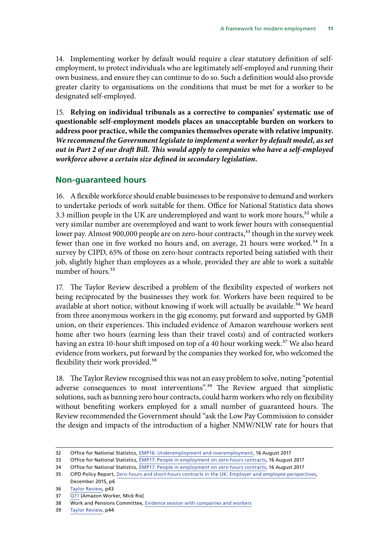<span id="page-14-0"></span>14. Implementing worker by default would require a clear statutory definition of selfemployment, to protect individuals who are legitimately self-employed and running their own business, and ensure they can continue to do so. Such a definition would also provide greater clarity to organisations on the conditions that must be met for a worker to be designated self-employed.

15. **Relying on individual tribunals as a corrective to companies' systematic use of questionable self-employment models places an unacceptable burden on workers to address poor practice, while the companies themselves operate with relative impunity.**  *We recommend the Government legislate to implement a worker by default model, as set out in Part 2 of our draft Bill. This would apply to companies who have a self-employed workforce above a certain size defined in secondary legislation.*

### **Non-guaranteed hours**

16. A flexible workforce should enable businesses to be responsive to demand and workers to undertake periods of work suitable for them. Office for National Statistics data shows 3.3 million people in the UK are underemployed and want to work more hours,<sup>32</sup> while a very similar number are overemployed and want to work fewer hours with consequential lower pay. Almost 900,000 people are on zero-hour contracts,<sup>33</sup> though in the survey week fewer than one in five worked no hours and, on average, 21 hours were worked.<sup>34</sup> In a survey by CIPD, 65% of those on zero-hour contracts reported being satisfied with their job, slightly higher than employees as a whole, provided they are able to work a suitable number of hours.<sup>35</sup>

17. The Taylor Review described a problem of the flexibility expected of workers not being reciprocated by the businesses they work for. Workers have been required to be available at short notice, without knowing if work will actually be available.<sup>36</sup> We heard from three anonymous workers in the gig economy, put forward and supported by GMB union, on their experiences. This included evidence of Amazon warehouse workers sent home after two hours (earning less than their travel costs) and of contracted workers having an extra 10-hour shift imposed on top of a 40 hour working week.<sup>37</sup> We also heard evidence from workers, put forward by the companies they worked for, who welcomed the flexibility their work provided.<sup>38</sup>

18. The Taylor Review recognised this was not an easy problem to solve, noting "potential adverse consequences to most interventions".<sup>39</sup> The Review argued that simplistic solutions, such as banning zero hour contracts, could harm workers who rely on flexibility without benefiting workers employed for a small number of guaranteed hours. The Review recommended the Government should "ask the Low Pay Commission to consider the design and impacts of the introduction of a higher NMW/NLW rate for hours that

39 [Taylor Review,](https://www.gov.uk/government/uploads/system/uploads/attachment_data/file/627671/good-work-taylor-review-modern-working-practices-rg.pdf) p44

<sup>32</sup> Office for National Statistics, [EMP16: Underemployment and overemployment](https://www.ons.gov.uk/employmentandlabourmarket/peopleinwork/employmentandemployeetypes/datasets/underemploymentandoveremploymentemp16), 16 August 2017

<sup>33</sup> Office for National Statistics, [EMP17: People in employment on zero hours contracts](https://www.ons.gov.uk/employmentandlabourmarket/peopleinwork/employmentandemployeetypes/datasets/emp17peopleinemploymentonzerohourscontracts), 16 August 2017

<sup>34</sup> Office for National Statistics, [EMP17: People in employment on zero hours contracts](https://www.ons.gov.uk/employmentandlabourmarket/peopleinwork/employmentandemployeetypes/datasets/emp17peopleinemploymentonzerohourscontracts), 16 August 2017

<sup>35</sup> CIPD Policy Report, [Zero-hours and short-hours contracts in the UK: Employer and employee perspectives](https://www.cipd.co.uk/Images/zero-hours-and-short-hours-contracts-in-the-uk_2015-employer-employee-perspectives_tcm18-10713.pdf), December 2015, p6

<sup>36</sup> [Taylor Review,](https://www.gov.uk/government/uploads/system/uploads/attachment_data/file/627671/good-work-taylor-review-modern-working-practices-rg.pdf) p43

<sup>37</sup> [Q71](http://data.parliament.uk/writtenevidence/committeeevidence.svc/evidencedocument/work-and-pensions-committee/taylor-review-of-modern-working-practices/oral/71335.pdf) [Amazon Worker, Mick Rix]

<sup>38</sup> Work and Pensions Committee, [Evidence session with companies and workers](http://data.parliament.uk/writtenevidence/committeeevidence.svc/evidencedocument/work-and-pensions-committee/selfemployment-and-the-gig-economy/oral/46969.pdf)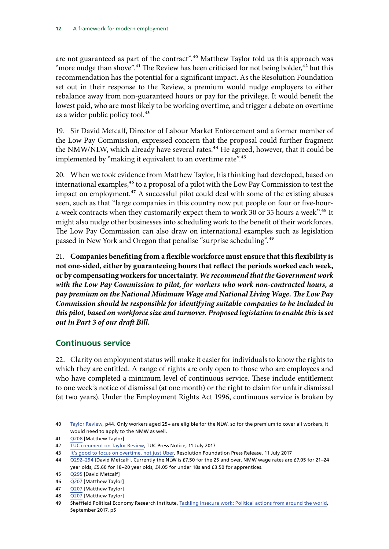<span id="page-15-0"></span>are not guaranteed as part of the contract".<sup>40</sup> Matthew Taylor told us this approach was "more nudge than shove".<sup>41</sup> The Review has been criticised for not being bolder,<sup>42</sup> but this recommendation has the potential for a significant impact. As the Resolution Foundation set out in their response to the Review, a premium would nudge employers to either rebalance away from non-guaranteed hours or pay for the privilege. It would benefit the lowest paid, who are most likely to be working overtime, and trigger a debate on overtime as a wider public policy tool.<sup>43</sup>

19. Sir David Metcalf, Director of Labour Market Enforcement and a former member of the Low Pay Commission, expressed concern that the proposal could further fragment the NMW/NLW, which already have several rates.<sup>44</sup> He agreed, however, that it could be implemented by "making it equivalent to an overtime rate".<sup>45</sup>

20. When we took evidence from Matthew Taylor, his thinking had developed, based on international examples,<sup>46</sup> to a proposal of a pilot with the Low Pay Commission to test the impact on employment*.*47 A successful pilot could deal with some of the existing abuses seen, such as that "large companies in this country now put people on four or five-houra-week contracts when they customarily expect them to work 30 or 35 hours a week".<sup>48</sup> It might also nudge other businesses into scheduling work to the benefit of their workforces. The Low Pay Commission can also draw on international examples such as legislation passed in New York and Oregon that penalise "surprise scheduling".49

21. **Companies benefiting from a flexible workforce must ensure that this flexibility is not one-sided, either by guaranteeing hours that reflect the periods worked each week, or by compensating workers for uncertainty.** *We recommend that the Government work with the Low Pay Commission to pilot, for workers who work non-contracted hours, a pay premium on the National Minimum Wage and National Living Wage. The Low Pay Commission should be responsible for identifying suitable companies to be included in this pilot, based on workforce size and turnover. Proposed legislation to enable this is set out in Part 3 of our draft Bill.*

### **Continuous service**

22. Clarity on employment status will make it easier for individuals to know the rights to which they are entitled. A range of rights are only open to those who are employees and who have completed a minimum level of continuous service. These include entitlement to one week's notice of dismissal (at one month) or the right to claim for unfair dismissal (at two years). Under the Employment Rights Act 1996, continuous service is broken by

<sup>40</sup> [Taylor Review,](https://www.gov.uk/government/uploads/system/uploads/attachment_data/file/627671/good-work-taylor-review-modern-working-practices-rg.pdf) p44. Only workers aged 25+ are eligible for the NLW, so for the premium to cover all workers, it would need to apply to the NMW as well.

<sup>41</sup> [Q208](http://data.parliament.uk/writtenevidence/committeeevidence.svc/evidencedocument/work-and-pensions-committee/taylor-review-of-modern-working-practices/oral/71338.pdf) [Matthew Taylor]

<sup>42</sup> [TUC comment on Taylor Review](https://www.tuc.org.uk/news/tuc-comment-taylor-review), TUC Press Notice, 11 July 2017

<sup>43</sup> [It's good to focus on overtime, not just Uber](http://www.resolutionfoundation.org/media/press-releases/its-good-to-focus-on-overtime-not-just-uber/), Resolution Foundation Press Release, 11 July 2017

<sup>44</sup> [Q292–294](http://data.parliament.uk/writtenevidence/committeeevidence.svc/evidencedocument/work-and-pensions-committee/taylor-review-of-modern-working-practices/oral/72191.pdf) [David Metcalf]. Currently the NLW is £7.50 for the 25 and over. NMW wage rates are £7.05 for 21–24 year olds, £5.60 for 18–20 year olds, £4.05 for under 18s and £3.50 for apprentices.

<sup>45</sup> [Q295](http://data.parliament.uk/writtenevidence/committeeevidence.svc/evidencedocument/work-and-pensions-committee/taylor-review-of-modern-working-practices/oral/72191.pdf) [David Metcalf]

<sup>46</sup> [Q207](http://data.parliament.uk/writtenevidence/committeeevidence.svc/evidencedocument/work-and-pensions-committee/taylor-review-of-modern-working-practices/oral/71338.pdf) [Matthew Taylor]

<sup>47</sup> [Q207](http://data.parliament.uk/writtenevidence/committeeevidence.svc/evidencedocument/work-and-pensions-committee/taylor-review-of-modern-working-practices/oral/71338.pdf) [Matthew Taylor]

<sup>48</sup> [Q207](http://data.parliament.uk/writtenevidence/committeeevidence.svc/evidencedocument/work-and-pensions-committee/taylor-review-of-modern-working-practices/oral/71338.pdf) [Matthew Taylor]

<sup>49</sup> Sheffield Political Economy Research Institute, [Tackling insecure work: Political actions from around the world,](http://speri.dept.shef.ac.uk/wp-content/uploads/2017/09/Tackling-insecure-work-political-actions-from-around-the-world-SPERI-report-for-GMB.pdf) September 2017, p5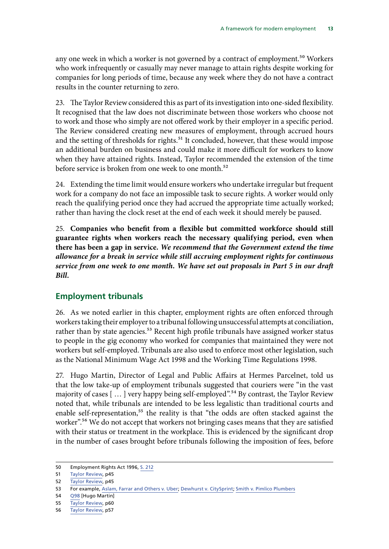<span id="page-16-0"></span>any one week in which a worker is not governed by a contract of employment.<sup>50</sup> Workers who work infrequently or casually may never manage to attain rights despite working for companies for long periods of time, because any week where they do not have a contract results in the counter returning to zero.

23. The Taylor Review considered this as part of its investigation into one-sided flexibility. It recognised that the law does not discriminate between those workers who choose not to work and those who simply are not offered work by their employer in a specific period. The Review considered creating new measures of employment, through accrued hours and the setting of thresholds for rights.<sup>51</sup> It concluded, however, that these would impose an additional burden on business and could make it more difficult for workers to know when they have attained rights. Instead, Taylor recommended the extension of the time before service is broken from one week to one month.<sup>52</sup>

24. Extending the time limit would ensure workers who undertake irregular but frequent work for a company do not face an impossible task to secure rights. A worker would only reach the qualifying period once they had accrued the appropriate time actually worked; rather than having the clock reset at the end of each week it should merely be paused.

25. **Companies who benefit from a flexible but committed workforce should still guarantee rights when workers reach the necessary qualifying period, even when there has been a gap in service.** *We recommend that the Government extend the time allowance for a break in service while still accruing employment rights for continuous service from one week to one month. We have set out proposals in Part 5 in our draft Bill.*

### **Employment tribunals**

26. As we noted earlier in this chapter, employment rights are often enforced through workers taking their employer to a tribunal following unsuccessful attempts at conciliation, rather than by state agencies.<sup>53</sup> Recent high profile tribunals have assigned worker status to people in the gig economy who worked for companies that maintained they were not workers but self-employed. Tribunals are also used to enforce most other legislation, such as the National Minimum Wage Act 1998 and the Working Time Regulations 1998.

27. Hugo Martin, Director of Legal and Public Affairs at Hermes Parcelnet, told us that the low take-up of employment tribunals suggested that couriers were "in the vast majority of cases [ … ] very happy being self-employed"*.*54 By contrast*,* the Taylor Review noted that, while tribunals are intended to be less legalistic than traditional courts and enable self-representation,<sup>55</sup> the reality is that "the odds are often stacked against the worker".<sup>56</sup> We do not accept that workers not bringing cases means that they are satisfied with their status or treatment in the workplace. This is evidenced by the significant drop in the number of cases brought before tribunals following the imposition of fees, before

<sup>50</sup> Employment Rights Act 1996, [S. 212](https://www.legislation.gov.uk/ukpga/1996/18/section/212)

<sup>51</sup> [Taylor Review,](https://www.gov.uk/government/uploads/system/uploads/attachment_data/file/627671/good-work-taylor-review-modern-working-practices-rg.pdf) p45

<sup>52</sup> [Taylor Review,](https://www.gov.uk/government/uploads/system/uploads/attachment_data/file/627671/good-work-taylor-review-modern-working-practices-rg.pdf) p45

<sup>53</sup> For example, [Aslam, Farrar and Others v. Uber;](https://www.judiciary.gov.uk/wp-content/uploads/2016/10/aslam-and-farrar-v-uber-reasons-20161028.pdf) [Dewhurst v. CitySprint;](http://www.egos.co.uk/ir35_cases/Dewhurst_v_City_Sprint_2016.pdf) [Smith v. Pimlico Plumbers](https://www.judiciary.gov.uk/wp-content/uploads/2017/02/pimlico-plumbers-v-smith.pdf)

<sup>54</sup> [Q98](http://data.parliament.uk/writtenevidence/committeeevidence.svc/evidencedocument/work-and-pensions-committee/taylor-review-of-modern-working-practices/oral/71335.pdf) [Hugo Martin]

<sup>55</sup> [Taylor Review,](https://www.gov.uk/government/uploads/system/uploads/attachment_data/file/627671/good-work-taylor-review-modern-working-practices-rg.pdf) p60

<sup>56</sup> [Taylor Review,](https://www.gov.uk/government/uploads/system/uploads/attachment_data/file/627671/good-work-taylor-review-modern-working-practices-rg.pdf) p57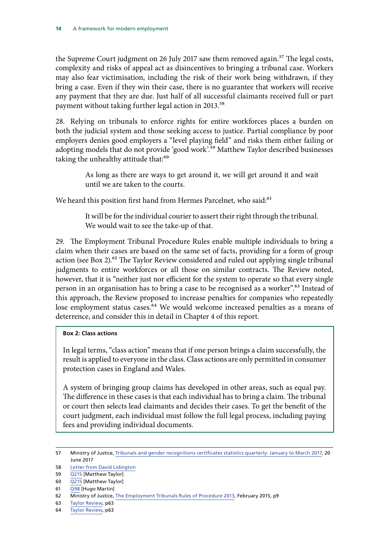the Supreme Court judgment on 26 July 2017 saw them removed again.<sup>57</sup> The legal costs, complexity and risks of appeal act as disincentives to bringing a tribunal case. Workers may also fear victimisation, including the risk of their work being withdrawn, if they bring a case. Even if they win their case, there is no guarantee that workers will receive any payment that they are due. Just half of all successful claimants received full or part payment without taking further legal action in 2013.<sup>58</sup>

28. Relying on tribunals to enforce rights for entire workforces places a burden on both the judicial system and those seeking access to justice. Partial compliance by poor employers denies good employers a "level playing field" and risks them either failing or adopting models that do not provide 'good work'.59 Matthew Taylor described businesses taking the unhealthy attitude that:<sup>60</sup>

> As long as there are ways to get around it, we will get around it and wait until we are taken to the courts.

We heard this position first hand from Hermes Parcelnet, who said:<sup>61</sup>

It will be for the individual courier to assert their right through the tribunal. We would wait to see the take-up of that.

29. The Employment Tribunal Procedure Rules enable multiple individuals to bring a claim when their cases are based on the same set of facts, providing for a form of group action (see Box 2).<sup>62</sup> The Taylor Review considered and ruled out applying single tribunal judgments to entire workforces or all those on similar contracts. The Review noted, however, that it is "neither just nor efficient for the system to operate so that every single person in an organisation has to bring a case to be recognised as a worker".<sup>63</sup> Instead of this approach, the Review proposed to increase penalties for companies who repeatedly lose employment status cases.<sup>64</sup> We would welcome increased penalties as a means of deterrence, and consider this in detail in Chapter 4 of this report.

#### **Box 2: Class actions**

In legal terms, "class action" means that if one person brings a claim successfully, the result is applied to everyone in the class. Class actions are only permitted in consumer protection cases in England and Wales.

A system of bringing group claims has developed in other areas, such as equal pay. The difference in these cases is that each individual has to bring a claim. The tribunal or court then selects lead claimants and decides their cases. To get the benefit of the court judgment, each individual must follow the full legal process, including paying fees and providing individual documents.

<sup>57</sup> Ministry of Justice, [Tribunals and gender recognitions certificates statistics quarterly: January to March 2017,](https://www.gov.uk/government/statistics/tribunals-and-gender-recognitions-certificates-statistics-quarterly-january-to-march-2017-and-2016-to-2017) 20 June 2017

<sup>58</sup> [Letter from David Lidington](http://www.parliament.uk/documents/commons-committees/work-and-pensions/Correspondence/Letter-from-David-Lidington-MP-to-the-Chair-relating-to-non-payment-of-tribunal-awards-13-November-2017.pdf)

<sup>59</sup> [Q215](http://data.parliament.uk/writtenevidence/committeeevidence.svc/evidencedocument/work-and-pensions-committee/taylor-review-of-modern-working-practices/oral/71338.pdf) [Matthew Taylor]

<sup>60</sup> [Q215](http://data.parliament.uk/writtenevidence/committeeevidence.svc/evidencedocument/work-and-pensions-committee/taylor-review-of-modern-working-practices/oral/71338.pdf) [Matthew Taylor]

<sup>61</sup> [Q98](http://data.parliament.uk/writtenevidence/committeeevidence.svc/evidencedocument/work-and-pensions-committee/taylor-review-of-modern-working-practices/oral/71335.pdf) [Hugo Martin]

<sup>62</sup> Ministry of Justice, [The Employment Tribunals Rules of Procedure 2013](https://www.gov.uk/government/uploads/system/uploads/attachment_data/file/429633/employment-tribunal-procedure-rules.pdf), February 2015, p9

<sup>63</sup> [Taylor Review,](https://www.gov.uk/government/uploads/system/uploads/attachment_data/file/627671/good-work-taylor-review-modern-working-practices-rg.pdf) p63

<sup>64</sup> [Taylor Review,](https://www.gov.uk/government/uploads/system/uploads/attachment_data/file/627671/good-work-taylor-review-modern-working-practices-rg.pdf) p63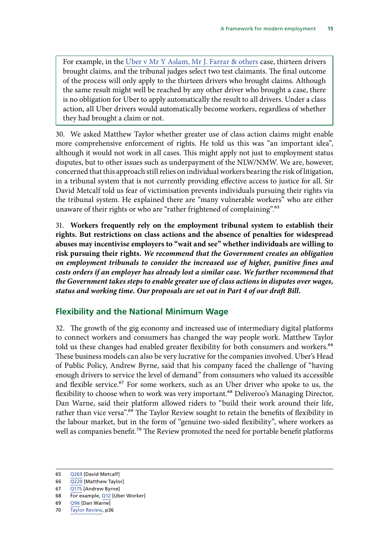<span id="page-18-0"></span>For example, in the [Uber v Mr Y Aslam, Mr J. Farrar & others](https://www.judiciary.gov.uk/wp-content/uploads/2016/10/aslam-and-farrar-v-uber-reasons-20161028.pdf) case, thirteen drivers brought claims, and the tribunal judges select two test claimants. The final outcome of the process will only apply to the thirteen drivers who brought claims. Although the same result might well be reached by any other driver who brought a case, there is no obligation for Uber to apply automatically the result to all drivers. Under a class action, all Uber drivers would automatically become workers, regardless of whether they had brought a claim or not.

30. We asked Matthew Taylor whether greater use of class action claims might enable more comprehensive enforcement of rights. He told us this was "an important idea", although it would not work in all cases. This might apply not just to employment status disputes, but to other issues such as underpayment of the NLW/NMW. We are, however, concerned that this approach still relies on individual workers bearing the risk of litigation, in a tribunal system that is not currently providing effective access to justice for all. Sir David Metcalf told us fear of victimisation prevents individuals pursuing their rights via the tribunal system. He explained there are "many vulnerable workers" who are either unaware of their rights or who are "rather frightened of complaining".<sup>65</sup>

31. **Workers frequently rely on the employment tribunal system to establish their rights. But restrictions on class actions and the absence of penalties for widespread abuses may incentivise employers to "wait and see" whether individuals are willing to risk pursuing their rights.** *We recommend that the Government creates an obligation on employment tribunals to consider the increased use of higher, punitive fines and costs orders if an employer has already lost a similar case. We further recommend that the Government takes steps to enable greater use of class actions in disputes over wages, status and working time. Our proposals are set out in Part 4 of our draft Bill.*

#### **Flexibility and the National Minimum Wage**

32. The growth of the gig economy and increased use of intermediary digital platforms to connect workers and consumers has changed the way people work. Matthew Taylor told us these changes had enabled greater flexibility for both consumers and workers.<sup>66</sup> These business models can also be very lucrative for the companies involved. Uber's Head of Public Policy, Andrew Byrne, said that his company faced the challenge of "having enough drivers to service the level of demand" from consumers who valued its accessible and flexible service.<sup>67</sup> For some workers, such as an Uber driver who spoke to us, the flexibility to choose when to work was very important.<sup>68</sup> Deliveroo's Managing Director, Dan Warne, said their platform allowed riders to "build their work around their life, rather than vice versa".<sup>69</sup> The Taylor Review sought to retain the benefits of flexibility in the labour market, but in the form of "genuine two-sided flexibility", where workers as well as companies benefit.<sup>70</sup> The Review promoted the need for portable benefit platforms

<sup>65</sup> [Q269](http://data.parliament.uk/writtenevidence/committeeevidence.svc/evidencedocument/work-and-pensions-committee/taylor-review-of-modern-working-practices/oral/72191.pdf) [David Metcalf]

<sup>66</sup> [Q220](http://data.parliament.uk/writtenevidence/committeeevidence.svc/evidencedocument/work-and-pensions-committee/taylor-review-of-modern-working-practices/oral/71338.pdf) [Matthew Taylor]

<sup>67</sup> [Q175](http://data.parliament.uk/writtenevidence/committeeevidence.svc/evidencedocument/work-and-pensions-committee/taylor-review-of-modern-working-practices/oral/71335.pdf) [Andrew Byrne]

<sup>68</sup> For example, [Q12](http://data.parliament.uk/writtenevidence/committeeevidence.svc/evidencedocument/work-and-pensions-committee/taylor-review-of-modern-working-practices/oral/71335.pdf) [Uber Worker]

<sup>69</sup> [Q96](http://data.parliament.uk/writtenevidence/committeeevidence.svc/evidencedocument/work-and-pensions-committee/taylor-review-of-modern-working-practices/oral/71335.pdf) [Dan Warne]

<sup>70</sup> [Taylor Review,](https://www.gov.uk/government/uploads/system/uploads/attachment_data/file/627671/good-work-taylor-review-modern-working-practices-rg.pdf) p36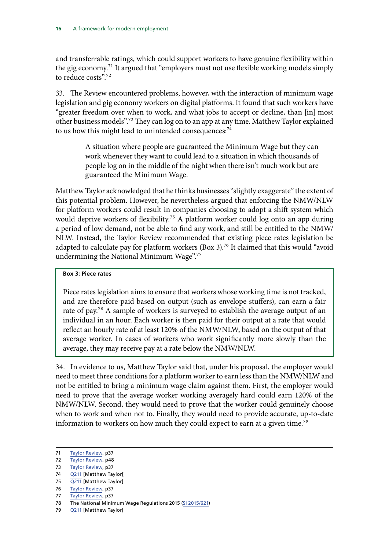and transferrable ratings, which could support workers to have genuine flexibility within the gig economy.71 It argued that "employers must not use flexible working models simply to reduce costs"<sup>72</sup>

33. The Review encountered problems, however, with the interaction of minimum wage legislation and gig economy workers on digital platforms. It found that such workers have "greater freedom over when to work, and what jobs to accept or decline, than [in] most other business models".73 They can log on to an app at any time. Matthew Taylor explained to us how this might lead to unintended consequences:<sup>74</sup>

> A situation where people are guaranteed the Minimum Wage but they can work whenever they want to could lead to a situation in which thousands of people log on in the middle of the night when there isn't much work but are guaranteed the Minimum Wage.

Matthew Taylor acknowledged that he thinks businesses "slightly exaggerate" the extent of this potential problem. However, he nevertheless argued that enforcing the NMW/NLW for platform workers could result in companies choosing to adopt a shift system which would deprive workers of flexibility.<sup>75</sup> A platform worker could log onto an app during a period of low demand, not be able to find any work, and still be entitled to the NMW/ NLW. Instead, the Taylor Review recommended that existing piece rates legislation be adapted to calculate pay for platform workers (Box 3).<sup>76</sup> It claimed that this would "avoid undermining the National Minimum Wage".77

#### **Box 3: Piece rates**

Piece rates legislation aims to ensure that workers whose working time is not tracked, and are therefore paid based on output (such as envelope stuffers), can earn a fair rate of pay.78 A sample of workers is surveyed to establish the average output of an individual in an hour. Each worker is then paid for their output at a rate that would reflect an hourly rate of at least 120% of the NMW/NLW, based on the output of that average worker. In cases of workers who work significantly more slowly than the average, they may receive pay at a rate below the NMW/NLW.

34. In evidence to us, Matthew Taylor said that, under his proposal, the employer would need to meet three conditions for a platform worker to earn less than the NMW/NLW and not be entitled to bring a minimum wage claim against them. First, the employer would need to prove that the average worker working averagely hard could earn 120% of the NMW/NLW. Second, they would need to prove that the worker could genuinely choose when to work and when not to. Finally, they would need to provide accurate, up-to-date information to workers on how much they could expect to earn at a given time.<sup>79</sup>

79 [Q211](http://data.parliament.uk/writtenevidence/committeeevidence.svc/evidencedocument/work-and-pensions-committee/taylor-review-of-modern-working-practices/oral/71338.pdf) [Matthew Taylor]

<sup>71</sup> [Taylor Review,](https://www.gov.uk/government/uploads/system/uploads/attachment_data/file/627671/good-work-taylor-review-modern-working-practices-rg.pdf) p37

<sup>72</sup> [Taylor Review,](https://www.gov.uk/government/uploads/system/uploads/attachment_data/file/627671/good-work-taylor-review-modern-working-practices-rg.pdf) p48

<sup>73</sup> [Taylor Review,](https://www.gov.uk/government/uploads/system/uploads/attachment_data/file/627671/good-work-taylor-review-modern-working-practices-rg.pdf) p37

<sup>74</sup> [Q211](http://data.parliament.uk/writtenevidence/committeeevidence.svc/evidencedocument/work-and-pensions-committee/taylor-review-of-modern-working-practices/oral/71338.pdf) [Matthew Taylor[

<sup>75</sup> [Q211](http://data.parliament.uk/writtenevidence/committeeevidence.svc/evidencedocument/work-and-pensions-committee/taylor-review-of-modern-working-practices/oral/71338.pdf) [Matthew Taylor]

<sup>76</sup> [Taylor Review,](https://www.gov.uk/government/uploads/system/uploads/attachment_data/file/627671/good-work-taylor-review-modern-working-practices-rg.pdf) p37

<sup>77</sup> [Taylor Review,](https://www.gov.uk/government/uploads/system/uploads/attachment_data/file/627671/good-work-taylor-review-modern-working-practices-rg.pdf) p37

<sup>78</sup> The National Minimum Wage Regulations 2015 [\(SI 2015/621](https://www.legislation.gov.uk/uksi/2015/621/contents/made))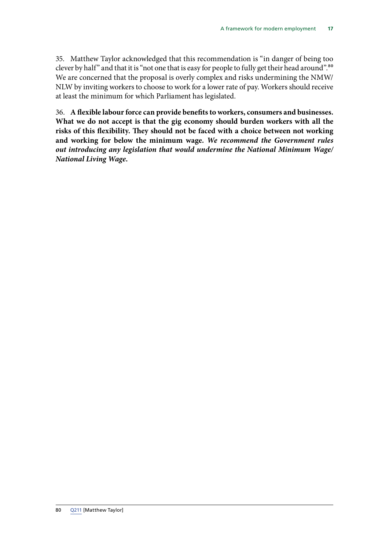35. Matthew Taylor acknowledged that this recommendation is "in danger of being too clever by half" and that it is "not one that is easy for people to fully get their head around".80 We are concerned that the proposal is overly complex and risks undermining the NMW/ NLW by inviting workers to choose to work for a lower rate of pay. Workers should receive at least the minimum for which Parliament has legislated.

36. **A flexible labour force can provide benefits to workers, consumers and businesses. What we do not accept is that the gig economy should burden workers with all the risks of this flexibility. They should not be faced with a choice between not working and working for below the minimum wage.** *We recommend the Government rules out introducing any legislation that would undermine the National Minimum Wage/ National Living Wage.*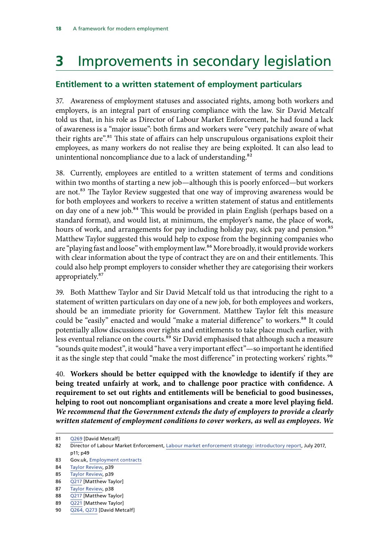## <span id="page-21-0"></span>**3** Improvements in secondary legislation

## **Entitlement to a written statement of employment particulars**

37. Awareness of employment statuses and associated rights, among both workers and employers, is an integral part of ensuring compliance with the law. Sir David Metcalf told us that, in his role as Director of Labour Market Enforcement, he had found a lack of awareness is a "major issue": both firms and workers were "very patchily aware of what their rights are".<sup>81</sup> This state of affairs can help unscrupulous organisations exploit their employees, as many workers do not realise they are being exploited. It can also lead to unintentional noncompliance due to a lack of understanding.<sup>82</sup>

38. Currently, employees are entitled to a written statement of terms and conditions within two months of starting a new job—although this is poorly enforced—but workers are not.<sup>83</sup> The Taylor Review suggested that one way of improving awareness would be for both employees and workers to receive a written statement of status and entitlements on day one of a new job.<sup>84</sup> This would be provided in plain English (perhaps based on a standard format), and would list, at minimum, the employer's name, the place of work, hours of work, and arrangements for pay including holiday pay, sick pay and pension.<sup>85</sup> Matthew Taylor suggested this would help to expose from the beginning companies who are "playing fast and loose" with employment law.86 More broadly, it would provide workers with clear information about the type of contract they are on and their entitlements. This could also help prompt employers to consider whether they are categorising their workers appropriately.87

39. Both Matthew Taylor and Sir David Metcalf told us that introducing the right to a statement of written particulars on day one of a new job, for both employees and workers, should be an immediate priority for Government. Matthew Taylor felt this measure could be "easily" enacted and would "make a material difference" to workers.<sup>88</sup> It could potentially allow discussions over rights and entitlements to take place much earlier, with less eventual reliance on the courts.<sup>89</sup> Sir David emphasised that although such a measure "sounds quite modest", it would "have a very important effect"—so important he identified it as the single step that could "make the most difference" in protecting workers' rights.<sup>90</sup>

40. **Workers should be better equipped with the knowledge to identify if they are being treated unfairly at work, and to challenge poor practice with confidence. A requirement to set out rights and entitlements will be beneficial to good businesses, helping to root out noncompliant organisations and create a more level playing field.**  *We recommend that the Government extends the duty of employers to provide a clearly written statement of employment conditions to cover workers, as well as employees. We* 

<sup>81</sup> [Q269](http://data.parliament.uk/writtenevidence/committeeevidence.svc/evidencedocument/work-and-pensions-committee/taylor-review-of-modern-working-practices/oral/72191.pdf) [David Metcalf]

<sup>82</sup> Director of Labour Market Enforcement, [Labour market enforcement strategy: introductory report](https://www.gov.uk/government/uploads/system/uploads/attachment_data/file/629872/labour-market-enforcement-strategy-introductory-report.pdf), July 2017, p11; p49

<sup>83</sup> Gov.uk, [Employment contracts](https://www.gov.uk/employment-contracts-and-conditions/written-statement-of-employment-particulars)

<sup>84</sup> [Taylor Review,](https://www.gov.uk/government/uploads/system/uploads/attachment_data/file/627671/good-work-taylor-review-modern-working-practices-rg.pdf) p39

<sup>85</sup> [Taylor Review,](https://www.gov.uk/government/uploads/system/uploads/attachment_data/file/627671/good-work-taylor-review-modern-working-practices-rg.pdf) p39

<sup>86</sup> [Q217](http://data.parliament.uk/writtenevidence/committeeevidence.svc/evidencedocument/work-and-pensions-committee/taylor-review-of-modern-working-practices/oral/71338.pdf) [Matthew Taylor]

<sup>87</sup> [Taylor Review,](https://www.gov.uk/government/uploads/system/uploads/attachment_data/file/627671/good-work-taylor-review-modern-working-practices-rg.pdf) p38

<sup>88</sup> [Q217](http://data.parliament.uk/writtenevidence/committeeevidence.svc/evidencedocument/work-and-pensions-committee/taylor-review-of-modern-working-practices/oral/71338.pdf) [Matthew Taylor]

<sup>89</sup> [Q221](http://data.parliament.uk/writtenevidence/committeeevidence.svc/evidencedocument/work-and-pensions-committee/taylor-review-of-modern-working-practices/oral/71338.pdf) [Matthew Taylor]

<sup>90</sup> [Q264, Q273](http://data.parliament.uk/writtenevidence/committeeevidence.svc/evidencedocument/work-and-pensions-committee/taylor-review-of-modern-working-practices/oral/72191.pdf) [David Metcalf]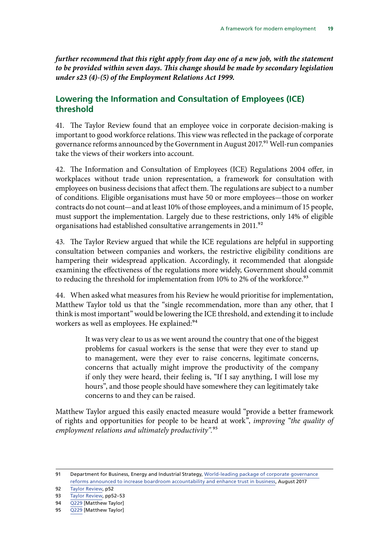<span id="page-22-0"></span>*further recommend that this right apply from day one of a new job, with the statement to be provided within seven days. This change should be made by secondary legislation under s23 (4)-(5) of the Employment Relations Act 1999.*

### **Lowering the Information and Consultation of Employees (ICE) threshold**

41. The Taylor Review found that an employee voice in corporate decision-making is important to good workforce relations. This view was reflected in the package of corporate governance reforms announced by the Government in August 2017.<sup>91</sup> Well-run companies take the views of their workers into account.

42. The Information and Consultation of Employees (ICE) Regulations 2004 offer, in workplaces without trade union representation, a framework for consultation with employees on business decisions that affect them. The regulations are subject to a number of conditions. Eligible organisations must have 50 or more employees—those on worker contracts do not count—and at least 10% of those employees, and a minimum of 15 people, must support the implementation. Largely due to these restrictions, only 14% of eligible organisations had established consultative arrangements in 2011.<sup>92</sup>

43. The Taylor Review argued that while the ICE regulations are helpful in supporting consultation between companies and workers, the restrictive eligibility conditions are hampering their widespread application. Accordingly, it recommended that alongside examining the effectiveness of the regulations more widely, Government should commit to reducing the threshold for implementation from 10% to 2% of the workforce.<sup>93</sup>

44. When asked what measures from his Review he would prioritise for implementation, Matthew Taylor told us that the "single recommendation, more than any other, that I think is most important" would be lowering the ICE threshold, and extending it to include workers as well as employees. He explained:<sup>94</sup>

> It was very clear to us as we went around the country that one of the biggest problems for casual workers is the sense that were they ever to stand up to management, were they ever to raise concerns, legitimate concerns, concerns that actually might improve the productivity of the company if only they were heard, their feeling is, "If I say anything, I will lose my hours", and those people should have somewhere they can legitimately take concerns to and they can be raised.

Matthew Taylor argued this easily enacted measure would "provide a better framework of rights and opportunities for people to be heard at work", *improving "the quality of employment relations and ultimately productivity".*95

<sup>91</sup> Department for Business, Energy and Industrial Strategy, World-leading package of corporate governance [reforms announced to increase boardroom accountability and enhance trust in business,](https://www.gov.uk/government/news/world-leading-package-of-corporate-governance-reforms-announced-to-increase-boardroom-accountability-and-enhance-trust-in-business) August 2017

<sup>92</sup> [Taylor Review,](https://www.gov.uk/government/uploads/system/uploads/attachment_data/file/627671/good-work-taylor-review-modern-working-practices-rg.pdf) p52

<sup>93</sup> [Taylor Review,](https://www.gov.uk/government/uploads/system/uploads/attachment_data/file/627671/good-work-taylor-review-modern-working-practices-rg.pdf) pp52–53

<sup>94</sup> [Q229](http://data.parliament.uk/writtenevidence/committeeevidence.svc/evidencedocument/work-and-pensions-committee/taylor-review-of-modern-working-practices/oral/71338.pdf) [Matthew Taylor]

<sup>95</sup> [Q229](http://data.parliament.uk/writtenevidence/committeeevidence.svc/evidencedocument/work-and-pensions-committee/taylor-review-of-modern-working-practices/oral/71338.pdf) [Matthew Taylor]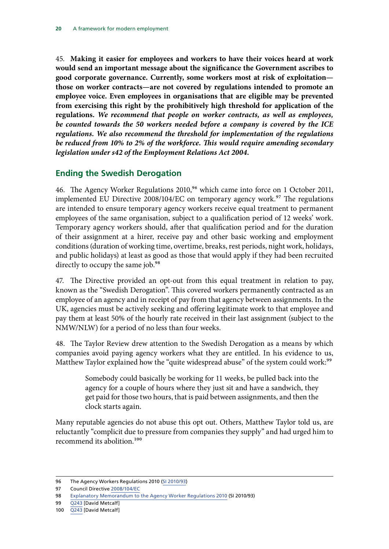<span id="page-23-0"></span>45. **Making it easier for employees and workers to have their voices heard at work would send an important message about the significance the Government ascribes to good corporate governance. Currently, some workers most at risk of exploitation those on worker contracts—are not covered by regulations intended to promote an employee voice. Even employees in organisations that are eligible may be prevented from exercising this right by the prohibitively high threshold for application of the regulations.** *We recommend that people on worker contracts, as well as employees, be counted towards the 50 workers needed before a company is covered by the ICE regulations. We also recommend the threshold for implementation of the regulations be reduced from 10% to 2% of the workforce. This would require amending secondary legislation under s42 of the Employment Relations Act 2004.*

### **Ending the Swedish Derogation**

46. The Agency Worker Regulations 2010,<sup>96</sup> which came into force on 1 October 2011, implemented EU Directive 2008/104/EC on temporary agency work.<sup>97</sup> The regulations are intended to ensure temporary agency workers receive equal treatment to permanent employees of the same organisation, subject to a qualification period of 12 weeks' work. Temporary agency workers should, after that qualification period and for the duration of their assignment at a hirer, receive pay and other basic working and employment conditions (duration of working time, overtime, breaks, rest periods, night work, holidays, and public holidays) at least as good as those that would apply if they had been recruited directly to occupy the same job.<sup>98</sup>

47. The Directive provided an opt-out from this equal treatment in relation to pay, known as the "Swedish Derogation". This covered workers permanently contracted as an employee of an agency and in receipt of pay from that agency between assignments. In the UK, agencies must be actively seeking and offering legitimate work to that employee and pay them at least 50% of the hourly rate received in their last assignment (subject to the NMW/NLW) for a period of no less than four weeks.

48. The Taylor Review drew attention to the Swedish Derogation as a means by which companies avoid paying agency workers what they are entitled. In his evidence to us, Matthew Taylor explained how the "quite widespread abuse" of the system could work:<sup>99</sup>

> Somebody could basically be working for 11 weeks, be pulled back into the agency for a couple of hours where they just sit and have a sandwich, they get paid for those two hours, that is paid between assignments, and then the clock starts again.

Many reputable agencies do not abuse this opt out. Others, Matthew Taylor told us, are reluctantly "complicit due to pressure from companies they supply" and had urged him to recommend its abolition.<sup>100</sup>

<sup>96</sup> The Agency Workers Regulations 2010 ([SI 2010/93](http://www.legislation.gov.uk/uksi/2010/93/introduction/made))

<sup>97</sup> Council Directive [2008/104/EC](http://eur-lex.europa.eu/LexUriServ/LexUriServ.do?uri=OJ:L:2008:327:0009:0014:EN:PDF)

<sup>98</sup> [Explanatory Memorandum to the Agency Worker Regulations 2010](http://www.legislation.gov.uk/uksi/2010/93/pdfs/uksiem_20100093_en.pdf) (SI 2010/93)

<sup>99</sup> [Q243](http://data.parliament.uk/writtenevidence/committeeevidence.svc/evidencedocument/work-and-pensions-committee/taylor-review-of-modern-working-practices/oral/72191.pdf) [David Metcalf]

<sup>100</sup> [Q243](http://data.parliament.uk/writtenevidence/committeeevidence.svc/evidencedocument/work-and-pensions-committee/taylor-review-of-modern-working-practices/oral/72191.pdf) [David Metcalf]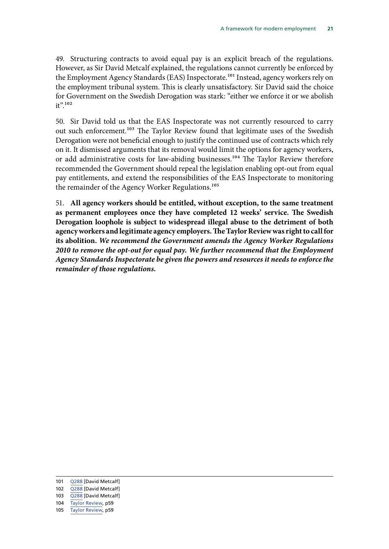49. Structuring contracts to avoid equal pay is an explicit breach of the regulations. However, as Sir David Metcalf explained, the regulations cannot currently be enforced by the Employment Agency Standards (EAS) Inspectorate.101 Instead, agency workers rely on the employment tribunal system. This is clearly unsatisfactory. Sir David said the choice for Government on the Swedish Derogation was stark: "either we enforce it or we abolish it".<sup>102</sup>

50. Sir David told us that the EAS Inspectorate was not currently resourced to carry out such enforcement.<sup>103</sup> The Taylor Review found that legitimate uses of the Swedish Derogation were not beneficial enough to justify the continued use of contracts which rely on it. It dismissed arguments that its removal would limit the options for agency workers, or add administrative costs for law-abiding businesses.<sup>104</sup> The Taylor Review therefore recommended the Government should repeal the legislation enabling opt-out from equal pay entitlements, and extend the responsibilities of the EAS Inspectorate to monitoring the remainder of the Agency Worker Regulations.<sup>105</sup>

51. **All agency workers should be entitled, without exception, to the same treatment as permanent employees once they have completed 12 weeks' service. The Swedish Derogation loophole is subject to widespread illegal abuse to the detriment of both agency workers and legitimate agency employers. The Taylor Review was right to call for its abolition.** *We recommend the Government amends the Agency Worker Regulations 2010 to remove the opt-out for equal pay. We further recommend that the Employment Agency Standards Inspectorate be given the powers and resources it needs to enforce the remainder of those regulations.*

- 101 [Q288](http://data.parliament.uk/writtenevidence/committeeevidence.svc/evidencedocument/work-and-pensions-committee/taylor-review-of-modern-working-practices/oral/72191.pdf) [David Metcalf]
- 102 [Q288](http://data.parliament.uk/writtenevidence/committeeevidence.svc/evidencedocument/work-and-pensions-committee/taylor-review-of-modern-working-practices/oral/72191.pdf) [David Metcalf]
- 103 [Q288](http://data.parliament.uk/writtenevidence/committeeevidence.svc/evidencedocument/work-and-pensions-committee/taylor-review-of-modern-working-practices/oral/72191.pdf) [David Metcalf]
- 104 [Taylor Review,](https://www.gov.uk/government/uploads/system/uploads/attachment_data/file/627671/good-work-taylor-review-modern-working-practices-rg.pdf) p59
- 105 [Taylor Review,](https://www.gov.uk/government/uploads/system/uploads/attachment_data/file/627671/good-work-taylor-review-modern-working-practices-rg.pdf) p59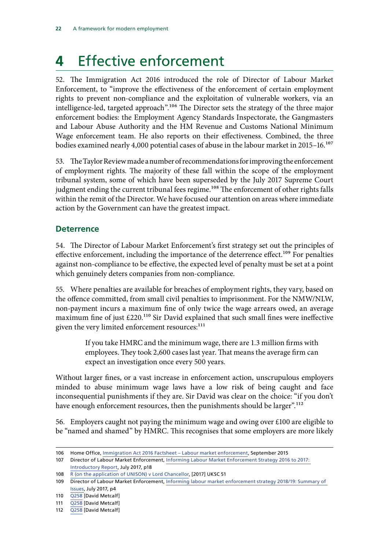## <span id="page-25-0"></span>**4** Effective enforcement

52. The Immigration Act 2016 introduced the role of Director of Labour Market Enforcement, to "improve the effectiveness of the enforcement of certain employment rights to prevent non-compliance and the exploitation of vulnerable workers, via an intelligence-led, targeted approach".106 The Director sets the strategy of the three major enforcement bodies: the Employment Agency Standards Inspectorate, the Gangmasters and Labour Abuse Authority and the HM Revenue and Customs National Minimum Wage enforcement team. He also reports on their effectiveness. Combined, the three bodies examined nearly 4,000 potential cases of abuse in the labour market in 2015–16.<sup>107</sup>

53. The Taylor Review made a number of recommendations for improving the enforcement of employment rights. The majority of these fall within the scope of the employment tribunal system, some of which have been superseded by the July 2017 Supreme Court judgment ending the current tribunal fees regime.<sup>108</sup> The enforcement of other rights falls within the remit of the Director. We have focused our attention on areas where immediate action by the Government can have the greatest impact.

### **Deterrence**

54. The Director of Labour Market Enforcement's first strategy set out the principles of effective enforcement, including the importance of the deterrence effect.<sup>109</sup> For penalties against non-compliance to be effective, the expected level of penalty must be set at a point which genuinely deters companies from non-compliance.

55. Where penalties are available for breaches of employment rights, they vary, based on the offence committed, from small civil penalties to imprisonment. For the NMW/NLW, non-payment incurs a maximum fine of only twice the wage arrears owed, an average maximum fine of just £220.110 Sir David explained that such small fines were ineffective given the very limited enforcement resources:<sup>111</sup>

> If you take HMRC and the minimum wage, there are 1.3 million firms with employees. They took 2,600 cases last year. That means the average firm can expect an investigation once every 500 years.

Without larger fines, or a vast increase in enforcement action, unscrupulous employers minded to abuse minimum wage laws have a low risk of being caught and face inconsequential punishments if they are. Sir David was clear on the choice: "if you don't have enough enforcement resources, then the punishments should be larger".<sup>112</sup>

56. Employers caught not paying the minimum wage and owing over  $\epsilon$ 100 are eligible to be "named and shamed" by HMRC. This recognises that some employers are more likely

<sup>106</sup> Home Office, [Immigration Act 2016 Factsheet – Labour market enforcement,](https://www.gov.uk/government/uploads/system/uploads/attachment_data/file/537203/Immigration_Act-_Part_1_-_Labour_Market_Enforcement.pdf) September 2015

<sup>107</sup> Director of Labour Market Enforcement, [Informing Labour Market Enforcement Strategy 2016 to 2017:](https://www.gov.uk/government/uploads/system/uploads/attachment_data/file/629872/labour-market-enforcement-strategy-introductory-report.pdf)  [Introductory Report](https://www.gov.uk/government/uploads/system/uploads/attachment_data/file/629872/labour-market-enforcement-strategy-introductory-report.pdf), July 2017, p18

<sup>108</sup> [R \(on the application of UNISON\) v Lord Chancellor](https://www.supremecourt.uk/cases/uksc-2015-0233.html), [2017] UKSC 51

<sup>109</sup> Director of Labour Market Enforcement, [Informing labour market enforcement strategy 2018/19: Summary of](https://www.gov.uk/government/uploads/system/uploads/attachment_data/file/632074/labour-market-enforcement-strategy-2018-19-summary-of-issues.pdf)  [Issues](https://www.gov.uk/government/uploads/system/uploads/attachment_data/file/632074/labour-market-enforcement-strategy-2018-19-summary-of-issues.pdf), July 2017, p4

<sup>110</sup> [Q258](http://data.parliament.uk/writtenevidence/committeeevidence.svc/evidencedocument/work-and-pensions-committee/taylor-review-of-modern-working-practices/oral/72191.pdf) [David Metcalf]

<sup>111</sup> [Q258](http://data.parliament.uk/writtenevidence/committeeevidence.svc/evidencedocument/work-and-pensions-committee/taylor-review-of-modern-working-practices/oral/72191.pdf) [David Metcalf]

<sup>112</sup> [Q258](http://data.parliament.uk/writtenevidence/committeeevidence.svc/evidencedocument/work-and-pensions-committee/taylor-review-of-modern-working-practices/oral/72191.pdf) [David Metcalf]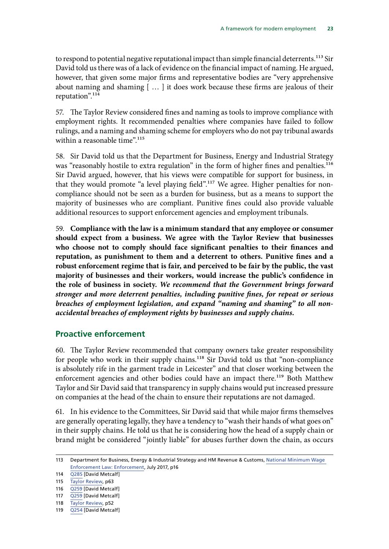<span id="page-26-0"></span>to respond to potential negative reputational impact than simple financial deterrents.<sup>113</sup> Sir David told us there was of a lack of evidence on the financial impact of naming. He argued, however, that given some major firms and representative bodies are "very apprehensive about naming and shaming [ … ] it does work because these firms are jealous of their reputation".114

57. The Taylor Review considered fines and naming as tools to improve compliance with employment rights. It recommended penalties where companies have failed to follow rulings, and a naming and shaming scheme for employers who do not pay tribunal awards within a reasonable time".<sup>115</sup>

58. Sir David told us that the Department for Business, Energy and Industrial Strategy was "reasonably hostile to extra regulation" in the form of higher fines and penalties.<sup>116</sup> Sir David argued, however, that his views were compatible for support for business, in that they would promote "a level playing field".<sup>117</sup> We agree. Higher penalties for noncompliance should not be seen as a burden for business, but as a means to support the majority of businesses who are compliant. Punitive fines could also provide valuable additional resources to support enforcement agencies and employment tribunals.

59. **Compliance with the law is a minimum standard that any employee or consumer should expect from a business. We agree with the Taylor Review that businesses who choose not to comply should face significant penalties to their finances and reputation, as punishment to them and a deterrent to others. Punitive fines and a robust enforcement regime that is fair, and perceived to be fair by the public, the vast majority of businesses and their workers, would increase the public's confidence in the role of business in society.** *We recommend that the Government brings forward stronger and more deterrent penalties, including punitive fines, for repeat or serious breaches of employment legislation, and expand "naming and shaming" to all nonaccidental breaches of employment rights by businesses and supply chains.*

#### **Proactive enforcement**

60. The Taylor Review recommended that company owners take greater responsibility for people who work in their supply chains.<sup>118</sup> Sir David told us that "non-compliance is absolutely rife in the garment trade in Leicester" and that closer working between the enforcement agencies and other bodies could have an impact there.<sup>119</sup> Both Matthew Taylor and Sir David said that transparency in supply chains would put increased pressure on companies at the head of the chain to ensure their reputations are not damaged.

61. In his evidence to the Committees, Sir David said that while major firms themselves are generally operating legally, they have a tendency to "wash their hands of what goes on" in their supply chains. He told us that he is considering how the head of a supply chain or brand might be considered "jointly liable" for abuses further down the chain, as occurs

<sup>113</sup> Department for Business, Energy & Industrial Strategy and HM Revenue & Customs, [National Minimum Wage](https://www.gov.uk/government/uploads/system/uploads/attachment_data/file/656568/nmw-enforcement-beis_-_policy_doc_-_full_vFINAL__3_.pdf)  [Enforcement Law: Enforcement,](https://www.gov.uk/government/uploads/system/uploads/attachment_data/file/656568/nmw-enforcement-beis_-_policy_doc_-_full_vFINAL__3_.pdf) July 2017, p16

<sup>114</sup> [Q285](http://data.parliament.uk/writtenevidence/committeeevidence.svc/evidencedocument/work-and-pensions-committee/taylor-review-of-modern-working-practices/oral/72191.pdf) [David Metcalf]

<sup>115</sup> [Taylor Review,](https://www.gov.uk/government/uploads/system/uploads/attachment_data/file/627671/good-work-taylor-review-modern-working-practices-rg.pdf) p63

<sup>116</sup> [Q259](http://data.parliament.uk/writtenevidence/committeeevidence.svc/evidencedocument/work-and-pensions-committee/taylor-review-of-modern-working-practices/oral/72191.pdf) [David Metcalf]

<sup>117</sup> [Q259](http://data.parliament.uk/writtenevidence/committeeevidence.svc/evidencedocument/work-and-pensions-committee/taylor-review-of-modern-working-practices/oral/72191.pdf) [David Metcalf]

<sup>118</sup> [Taylor Review,](https://www.gov.uk/government/uploads/system/uploads/attachment_data/file/627671/good-work-taylor-review-modern-working-practices-rg.pdf) p52

<sup>119</sup> [Q254](http://data.parliament.uk/writtenevidence/committeeevidence.svc/evidencedocument/work-and-pensions-committee/taylor-review-of-modern-working-practices/oral/72191.pdf) [David Metcalf]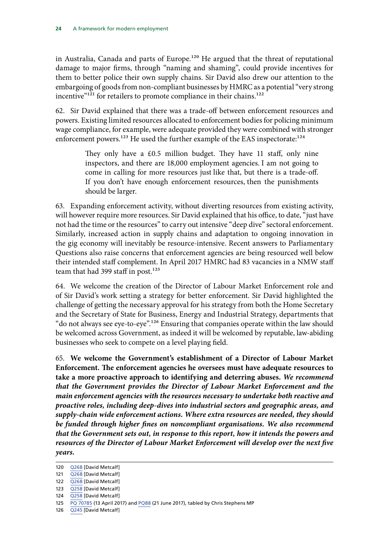in Australia, Canada and parts of Europe.<sup>120</sup> He argued that the threat of reputational damage to major firms, through "naming and shaming", could provide incentives for them to better police their own supply chains. Sir David also drew our attention to the embargoing of goods from non-compliant businesses by HMRC as a potential "very strong incentive"<sup>121</sup> for retailers to promote compliance in their chains.<sup>122</sup>

62. Sir David explained that there was a trade-off between enforcement resources and powers. Existing limited resources allocated to enforcement bodies for policing minimum wage compliance, for example, were adequate provided they were combined with stronger enforcement powers.<sup>123</sup> He used the further example of the EAS inspectorate:<sup>124</sup>

> They only have a £0.5 million budget. They have 11 staff, only nine inspectors, and there are 18,000 employment agencies. I am not going to come in calling for more resources just like that, but there is a trade-off. If you don't have enough enforcement resources, then the punishments should be larger.

63. Expanding enforcement activity, without diverting resources from existing activity, will however require more resources. Sir David explained that his office, to date, "just have not had the time or the resources" to carry out intensive "deep dive" sectoral enforcement. Similarly, increased action in supply chains and adaptation to ongoing innovation in the gig economy will inevitably be resource-intensive. Recent answers to Parliamentary Questions also raise concerns that enforcement agencies are being resourced well below their intended staff complement. In April 2017 HMRC had 83 vacancies in a NMW staff team that had 399 staff in post.<sup>125</sup>

64. We welcome the creation of the Director of Labour Market Enforcement role and of Sir David's work setting a strategy for better enforcement. Sir David highlighted the challenge of getting the necessary approval for his strategy from both the Home Secretary and the Secretary of State for Business, Energy and Industrial Strategy, departments that "do not always see eye-to-eye".126 Ensuring that companies operate within the law should be welcomed across Government, as indeed it will be welcomed by reputable, law-abiding businesses who seek to compete on a level playing field.

65. **We welcome the Government's establishment of a Director of Labour Market Enforcement. The enforcement agencies he oversees must have adequate resources to take a more proactive approach to identifying and deterring abuses.** *We recommend that the Government provides the Director of Labour Market Enforcement and the main enforcement agencies with the resources necessary to undertake both reactive and proactive roles, including deep-dives into industrial sectors and geographic areas, and supply-chain wide enforcement actions. Where extra resources are needed, they should be funded through higher fines on noncompliant organisations. We also recommend that the Government sets out, in response to this report, how it intends the powers and*  resources of the Director of Labour Market Enforcement will develop over the next five *years.*

126 [Q245](http://data.parliament.uk/writtenevidence/committeeevidence.svc/evidencedocument/work-and-pensions-committee/taylor-review-of-modern-working-practices/oral/72191.pdf) [David Metcalf]

<sup>120</sup> [Q268](http://data.parliament.uk/writtenevidence/committeeevidence.svc/evidencedocument/work-and-pensions-committee/taylor-review-of-modern-working-practices/oral/72191.pdf) [David Metcalf]

<sup>121</sup> [Q268](http://data.parliament.uk/writtenevidence/committeeevidence.svc/evidencedocument/work-and-pensions-committee/taylor-review-of-modern-working-practices/oral/72191.pdf) [David Metcalf]

<sup>122</sup> [Q268](http://data.parliament.uk/writtenevidence/committeeevidence.svc/evidencedocument/work-and-pensions-committee/taylor-review-of-modern-working-practices/oral/72191.pdf) [David Metcalf]

<sup>123</sup> [Q258](http://data.parliament.uk/writtenevidence/committeeevidence.svc/evidencedocument/work-and-pensions-committee/taylor-review-of-modern-working-practices/oral/72191.pdf) [David Metcalf]

<sup>124</sup> [Q258](http://data.parliament.uk/writtenevidence/committeeevidence.svc/evidencedocument/work-and-pensions-committee/taylor-review-of-modern-working-practices/oral/72191.pdf) [David Metcalf]

<sup>125</sup> PQ [70785](http://www.parliament.uk/business/publications/written-questions-answers-statements/written-question/Commons/2017-04-13/70785/) (13 April 2017) and [PQ88](http://www.parliament.uk/business/publications/written-questions-answers-statements/written-question/Commons/2017-06-21/88/) (21 June 2017), tabled by Chris Stephens MP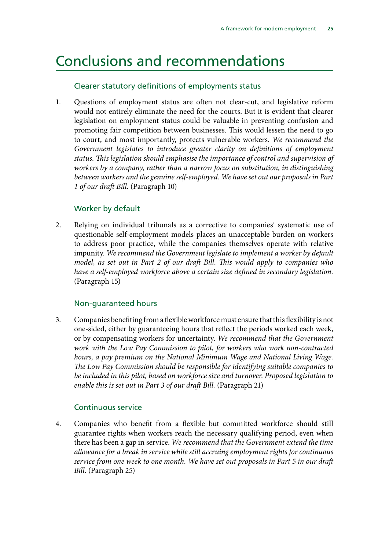## <span id="page-28-0"></span>Conclusions and recommendations

### Clearer statutory definitions of employments status

1. Questions of employment status are often not clear-cut, and legislative reform would not entirely eliminate the need for the courts. But it is evident that clearer legislation on employment status could be valuable in preventing confusion and promoting fair competition between businesses. This would lessen the need to go to court, and most importantly, protects vulnerable workers. *We recommend the*  Government legislates to introduce greater clarity on definitions of employment *status. This legislation should emphasise the importance of control and supervision of workers by a company, rather than a narrow focus on substitution, in distinguishing between workers and the genuine self-employed. We have set out our proposals in Part 1 of our draft Bill.* (Paragraph 10)

#### Worker by default

2. Relying on individual tribunals as a corrective to companies' systematic use of questionable self-employment models places an unacceptable burden on workers to address poor practice, while the companies themselves operate with relative impunity. *We recommend the Government legislate to implement a worker by default model, as set out in Part 2 of our draft Bill. This would apply to companies who have a self-employed workforce above a certain size defined in secondary legislation.* (Paragraph 15)

#### Non-guaranteed hours

3. Companies benefiting from a flexible workforce must ensure that this flexibility is not one-sided, either by guaranteeing hours that reflect the periods worked each week, or by compensating workers for uncertainty. *We recommend that the Government work with the Low Pay Commission to pilot, for workers who work non-contracted hours, a pay premium on the National Minimum Wage and National Living Wage. The Low Pay Commission should be responsible for identifying suitable companies to be included in this pilot, based on workforce size and turnover. Proposed legislation to enable this is set out in Part 3 of our draft Bill.* (Paragraph 21)

### Continuous service

4. Companies who benefit from a flexible but committed workforce should still guarantee rights when workers reach the necessary qualifying period, even when there has been a gap in service. *We recommend that the Government extend the time allowance for a break in service while still accruing employment rights for continuous service from one week to one month. We have set out proposals in Part 5 in our draft Bill.* (Paragraph 25)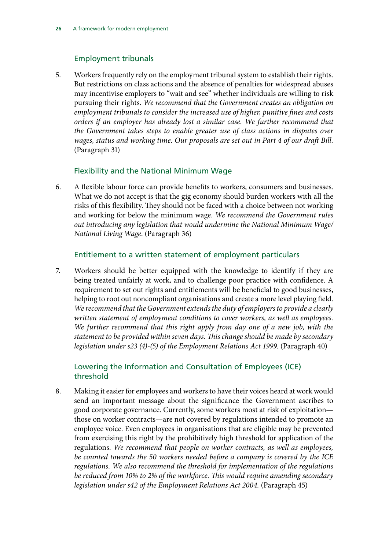### Employment tribunals

5. Workers frequently rely on the employment tribunal system to establish their rights. But restrictions on class actions and the absence of penalties for widespread abuses may incentivise employers to "wait and see" whether individuals are willing to risk pursuing their rights. *We recommend that the Government creates an obligation on employment tribunals to consider the increased use of higher, punitive fines and costs orders if an employer has already lost a similar case. We further recommend that the Government takes steps to enable greater use of class actions in disputes over wages, status and working time. Our proposals are set out in Part 4 of our draft Bill.* (Paragraph 31)

### Flexibility and the National Minimum Wage

6. A flexible labour force can provide benefits to workers, consumers and businesses. What we do not accept is that the gig economy should burden workers with all the risks of this flexibility. They should not be faced with a choice between not working and working for below the minimum wage. *We recommend the Government rules out introducing any legislation that would undermine the National Minimum Wage/ National Living Wage*. (Paragraph 36)

#### Entitlement to a written statement of employment particulars

7. Workers should be better equipped with the knowledge to identify if they are being treated unfairly at work, and to challenge poor practice with confidence. A requirement to set out rights and entitlements will be beneficial to good businesses, helping to root out noncompliant organisations and create a more level playing field. *We recommend that the Government extends the duty of employers to provide a clearly written statement of employment conditions to cover workers, as well as employees. We further recommend that this right apply from day one of a new job, with the statement to be provided within seven days. This change should be made by secondary legislation under s23 (4)-(5) of the Employment Relations Act 1999.* (Paragraph 40)

### Lowering the Information and Consultation of Employees (ICE) threshold

8. Making it easier for employees and workers to have their voices heard at work would send an important message about the significance the Government ascribes to good corporate governance. Currently, some workers most at risk of exploitation those on worker contracts—are not covered by regulations intended to promote an employee voice. Even employees in organisations that are eligible may be prevented from exercising this right by the prohibitively high threshold for application of the regulations. *We recommend that people on worker contracts, as well as employees, be counted towards the 50 workers needed before a company is covered by the ICE regulations. We also recommend the threshold for implementation of the regulations be reduced from 10% to 2% of the workforce. This would require amending secondary legislation under s42 of the Employment Relations Act 2004.* (Paragraph 45)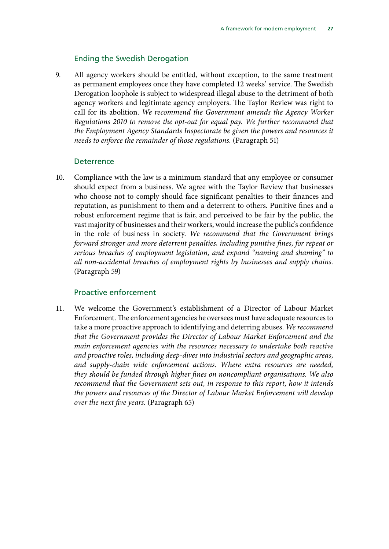#### Ending the Swedish Derogation

9. All agency workers should be entitled, without exception, to the same treatment as permanent employees once they have completed 12 weeks' service. The Swedish Derogation loophole is subject to widespread illegal abuse to the detriment of both agency workers and legitimate agency employers. The Taylor Review was right to call for its abolition. *We recommend the Government amends the Agency Worker Regulations 2010 to remove the opt-out for equal pay. We further recommend that the Employment Agency Standards Inspectorate be given the powers and resources it needs to enforce the remainder of those regulations.* (Paragraph 51)

#### **Deterrence**

10. Compliance with the law is a minimum standard that any employee or consumer should expect from a business. We agree with the Taylor Review that businesses who choose not to comply should face significant penalties to their finances and reputation, as punishment to them and a deterrent to others. Punitive fines and a robust enforcement regime that is fair, and perceived to be fair by the public, the vast majority of businesses and their workers, would increase the public's confidence in the role of business in society. *We recommend that the Government brings forward stronger and more deterrent penalties, including punitive fines, for repeat or serious breaches of employment legislation, and expand "naming and shaming" to all non-accidental breaches of employment rights by businesses and supply chains.* (Paragraph 59)

#### Proactive enforcement

11. We welcome the Government's establishment of a Director of Labour Market Enforcement. The enforcement agencies he oversees must have adequate resources to take a more proactive approach to identifying and deterring abuses. *We recommend that the Government provides the Director of Labour Market Enforcement and the main enforcement agencies with the resources necessary to undertake both reactive and proactive roles, including deep-dives into industrial sectors and geographic areas, and supply-chain wide enforcement actions. Where extra resources are needed, they should be funded through higher fines on noncompliant organisations. We also recommend that the Government sets out, in response to this report, how it intends the powers and resources of the Director of Labour Market Enforcement will develop over the next five years.* (Paragraph 65)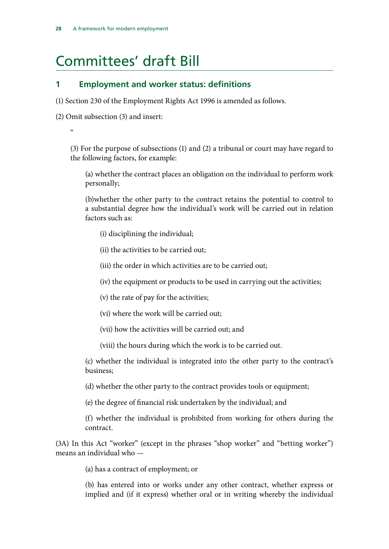## <span id="page-31-0"></span>Committees' draft Bill

### **1 Employment and worker status: definitions**

(1) Section 230 of the Employment Rights Act 1996 is amended as follows.

(2) Omit subsection (3) and insert:

 $\mathfrak{c}$ 

(3) For the purpose of subsections (1) and (2) a tribunal or court may have regard to the following factors, for example:

(a) whether the contract places an obligation on the individual to perform work personally;

(b)whether the other party to the contract retains the potential to control to a substantial degree how the individual's work will be carried out in relation factors such as:

(i) disciplining the individual;

(ii) the activities to be carried out;

(iii) the order in which activities are to be carried out;

(iv) the equipment or products to be used in carrying out the activities;

(v) the rate of pay for the activities;

(vi) where the work will be carried out;

(vii) how the activities will be carried out; and

(viii) the hours during which the work is to be carried out.

(c) whether the individual is integrated into the other party to the contract's business;

(d) whether the other party to the contract provides tools or equipment;

(e) the degree of financial risk undertaken by the individual; and

(f) whether the individual is prohibited from working for others during the contract.

(3A) In this Act "worker" (except in the phrases "shop worker" and "betting worker") means an individual who —

(a) has a contract of employment; or

(b) has entered into or works under any other contract, whether express or implied and (if it express) whether oral or in writing whereby the individual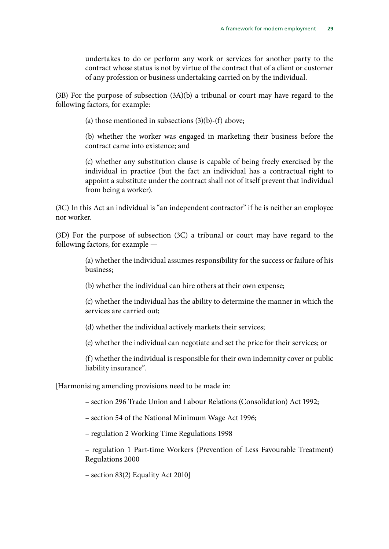undertakes to do or perform any work or services for another party to the contract whose status is not by virtue of the contract that of a client or customer of any profession or business undertaking carried on by the individual.

(3B) For the purpose of subsection (3A)(b) a tribunal or court may have regard to the following factors, for example:

(a) those mentioned in subsections  $(3)(b)$ - $(f)$  above;

(b) whether the worker was engaged in marketing their business before the contract came into existence; and

(c) whether any substitution clause is capable of being freely exercised by the individual in practice (but the fact an individual has a contractual right to appoint a substitute under the contract shall not of itself prevent that individual from being a worker).

(3C) In this Act an individual is "an independent contractor" if he is neither an employee nor worker.

(3D) For the purpose of subsection (3C) a tribunal or court may have regard to the following factors, for example —

> (a) whether the individual assumes responsibility for the success or failure of his business;

(b) whether the individual can hire others at their own expense;

(c) whether the individual has the ability to determine the manner in which the services are carried out;

(d) whether the individual actively markets their services;

(e) whether the individual can negotiate and set the price for their services; or

(f) whether the individual is responsible for their own indemnity cover or public liability insurance".

[Harmonising amending provisions need to be made in:

– section 296 Trade Union and Labour Relations (Consolidation) Act 1992;

– section 54 of the National Minimum Wage Act 1996;

– regulation 2 Working Time Regulations 1998

– regulation 1 Part-time Workers (Prevention of Less Favourable Treatment) Regulations 2000

– section 83(2) Equality Act 2010]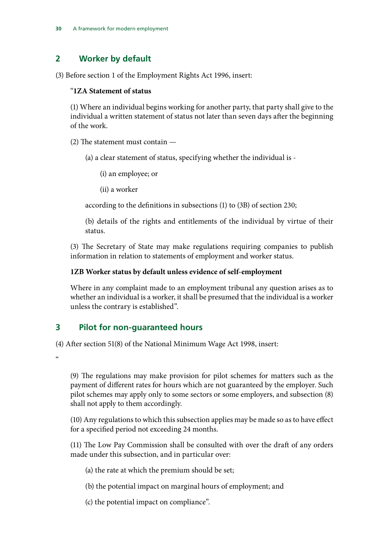## **2 Worker by default**

(3) Before section 1 of the Employment Rights Act 1996, insert:

#### "**1ZA Statement of status**

(1) Where an individual begins working for another party, that party shall give to the individual a written statement of status not later than seven days after the beginning of the work.

(2) The statement must contain —

(a) a clear statement of status, specifying whether the individual is -

(i) an employee; or

(ii) a worker

according to the definitions in subsections (1) to (3B) of section 230;

(b) details of the rights and entitlements of the individual by virtue of their status.

(3) The Secretary of State may make regulations requiring companies to publish information in relation to statements of employment and worker status.

#### **1ZB Worker status by default unless evidence of self-employment**

Where in any complaint made to an employment tribunal any question arises as to whether an individual is a worker, it shall be presumed that the individual is a worker unless the contrary is established".

## **3 Pilot for non-guaranteed hours**

(4) After section 51(8) of the National Minimum Wage Act 1998, insert:

 $\alpha$ 

(9) The regulations may make provision for pilot schemes for matters such as the payment of different rates for hours which are not guaranteed by the employer. Such pilot schemes may apply only to some sectors or some employers, and subsection (8) shall not apply to them accordingly.

(10) Any regulations to which this subsection applies may be made so as to have effect for a specified period not exceeding 24 months.

(11) The Low Pay Commission shall be consulted with over the draft of any orders made under this subsection, and in particular over:

(a) the rate at which the premium should be set;

(b) the potential impact on marginal hours of employment; and

(c) the potential impact on compliance".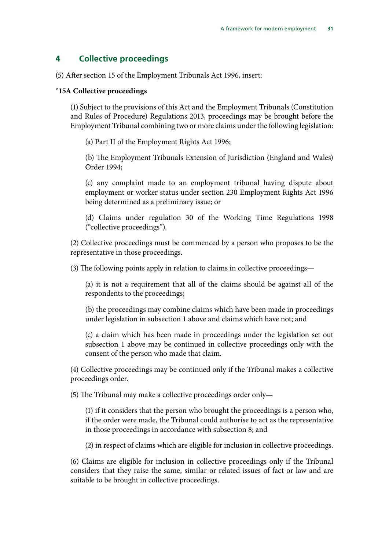### **4 Collective proceedings**

(5) After section 15 of the Employment Tribunals Act 1996, insert:

#### "**15A Collective proceedings**

(1) Subject to the provisions of this Act and the Employment Tribunals (Constitution and Rules of Procedure) Regulations 2013, proceedings may be brought before the Employment Tribunal combining two or more claims under the following legislation:

(a) Part II of the Employment Rights Act 1996;

(b) The Employment Tribunals Extension of Jurisdiction (England and Wales) Order 1994;

(c) any complaint made to an employment tribunal having dispute about employment or worker status under section 230 Employment Rights Act 1996 being determined as a preliminary issue; or

(d) Claims under regulation 30 of the Working Time Regulations 1998 ("collective proceedings").

(2) Collective proceedings must be commenced by a person who proposes to be the representative in those proceedings.

(3) The following points apply in relation to claims in collective proceedings—

(a) it is not a requirement that all of the claims should be against all of the respondents to the proceedings;

(b) the proceedings may combine claims which have been made in proceedings under legislation in subsection 1 above and claims which have not; and

(c) a claim which has been made in proceedings under the legislation set out subsection 1 above may be continued in collective proceedings only with the consent of the person who made that claim.

(4) Collective proceedings may be continued only if the Tribunal makes a collective proceedings order.

(5) The Tribunal may make a collective proceedings order only—

(1) if it considers that the person who brought the proceedings is a person who, if the order were made, the Tribunal could authorise to act as the representative in those proceedings in accordance with subsection 8; and

(2) in respect of claims which are eligible for inclusion in collective proceedings.

(6) Claims are eligible for inclusion in collective proceedings only if the Tribunal considers that they raise the same, similar or related issues of fact or law and are suitable to be brought in collective proceedings.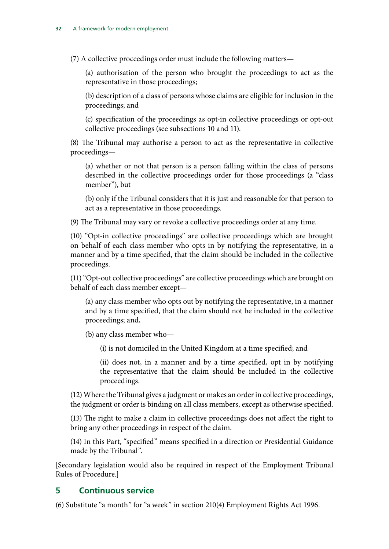(7) A collective proceedings order must include the following matters—

(a) authorisation of the person who brought the proceedings to act as the representative in those proceedings;

(b) description of a class of persons whose claims are eligible for inclusion in the proceedings; and

(c) specification of the proceedings as opt-in collective proceedings or opt-out collective proceedings (see subsections 10 and 11).

(8) The Tribunal may authorise a person to act as the representative in collective proceedings—

(a) whether or not that person is a person falling within the class of persons described in the collective proceedings order for those proceedings (a "class member"), but

(b) only if the Tribunal considers that it is just and reasonable for that person to act as a representative in those proceedings.

(9) The Tribunal may vary or revoke a collective proceedings order at any time.

(10) "Opt-in collective proceedings" are collective proceedings which are brought on behalf of each class member who opts in by notifying the representative, in a manner and by a time specified, that the claim should be included in the collective proceedings.

(11) "Opt-out collective proceedings" are collective proceedings which are brought on behalf of each class member except—

(a) any class member who opts out by notifying the representative, in a manner and by a time specified, that the claim should not be included in the collective proceedings; and,

(b) any class member who—

(i) is not domiciled in the United Kingdom at a time specified; and

(ii) does not, in a manner and by a time specified, opt in by notifying the representative that the claim should be included in the collective proceedings.

(12) Where the Tribunal gives a judgment or makes an order in collective proceedings, the judgment or order is binding on all class members, except as otherwise specified.

(13) The right to make a claim in collective proceedings does not affect the right to bring any other proceedings in respect of the claim.

(14) In this Part, "specified" means specified in a direction or Presidential Guidance made by the Tribunal".

[Secondary legislation would also be required in respect of the Employment Tribunal Rules of Procedure.]

#### **5 Continuous service**

(6) Substitute "a month" for "a week" in section 210(4) Employment Rights Act 1996.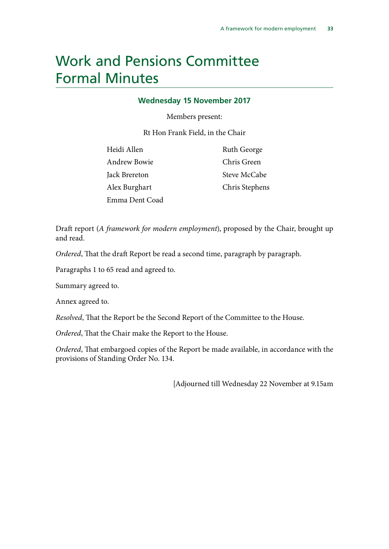## <span id="page-36-0"></span>Work and Pensions Committee Formal Minutes

#### **Wednesday 15 November 2017**

Members present:

Rt Hon Frank Field, in the Chair

| Heidi Allen         | Ruth George    |
|---------------------|----------------|
| <b>Andrew Bowie</b> | Chris Green    |
| Jack Brereton       | Steve McCabe   |
| Alex Burghart       | Chris Stephens |
| Emma Dent Coad      |                |

Draft report (*A framework for modern employment*), proposed by the Chair, brought up and read.

*Ordered*, That the draft Report be read a second time, paragraph by paragraph.

Paragraphs 1 to 65 read and agreed to.

Summary agreed to.

Annex agreed to.

*Resolved*, That the Report be the Second Report of the Committee to the House.

*Ordered*, That the Chair make the Report to the House.

*Ordered*, That embargoed copies of the Report be made available, in accordance with the provisions of Standing Order No. 134.

[Adjourned till Wednesday 22 November at 9.15am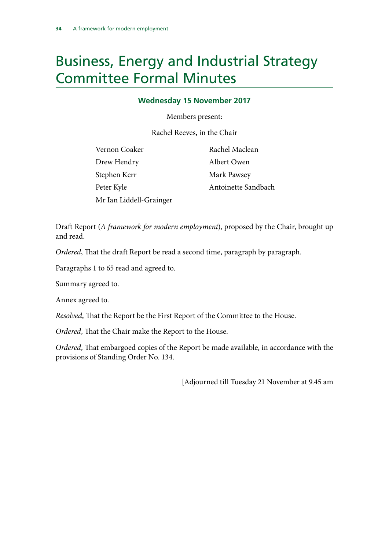## <span id="page-37-0"></span>Business, Energy and Industrial Strategy Committee Formal Minutes

#### **Wednesday 15 November 2017**

Members present:

Rachel Reeves, in the Chair

| Vernon Coaker           | Rachel Maclean      |
|-------------------------|---------------------|
| Drew Hendry             | Albert Owen         |
| Stephen Kerr            | Mark Pawsey         |
| Peter Kyle              | Antoinette Sandbach |
| Mr Ian Liddell-Grainger |                     |

Draft Report (*A framework for modern employment*), proposed by the Chair, brought up and read.

*Ordered*, That the draft Report be read a second time, paragraph by paragraph.

Paragraphs 1 to 65 read and agreed to.

Summary agreed to.

Annex agreed to.

*Resolved*, That the Report be the First Report of the Committee to the House.

*Ordered*, That the Chair make the Report to the House.

*Ordered*, That embargoed copies of the Report be made available, in accordance with the provisions of Standing Order No. 134.

[Adjourned till Tuesday 21 November at 9.45 am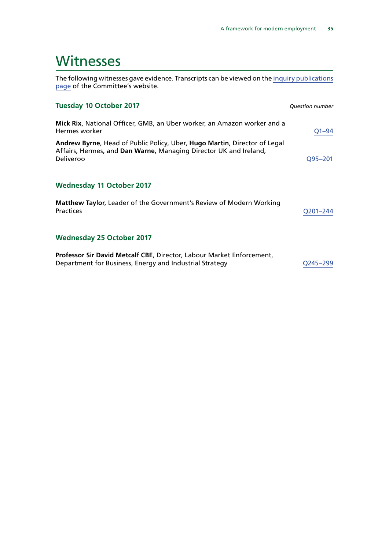## <span id="page-38-0"></span>**Witnesses**

The following witnesses gave evidence. Transcripts can be viewed on the [inquiry publications](http://www.parliament.uk/business/committees/committees-a-z/commons-select/work-and-pensions-committee/inquiries/parliament-2017/inquiry1/publications/) [page](http://www.parliament.uk/business/committees/committees-a-z/commons-select/work-and-pensions-committee/inquiries/parliament-2017/inquiry1/publications/) of the Committee's website.

| <b>Tuesday 10 October 2017</b>                                                                                                                              | <b>Question number</b> |
|-------------------------------------------------------------------------------------------------------------------------------------------------------------|------------------------|
| Mick Rix, National Officer, GMB, an Uber worker, an Amazon worker and a<br>Hermes worker                                                                    | $Q1 - 94$              |
| Andrew Byrne, Head of Public Policy, Uber, Hugo Martin, Director of Legal<br>Affairs, Hermes, and Dan Warne, Managing Director UK and Ireland,<br>Deliveroo | Q95-201                |
| <b>Wednesday 11 October 2017</b>                                                                                                                            |                        |
| <b>Matthew Taylor, Leader of the Government's Review of Modern Working</b><br><b>Practices</b>                                                              | O201-244               |
| <b>Wednesday 25 October 2017</b>                                                                                                                            |                        |
| Professor Sir David Metcalf CBE, Director, Labour Market Enforcement,<br>Department for Business, Energy and Industrial Strategy                            | O245–299               |